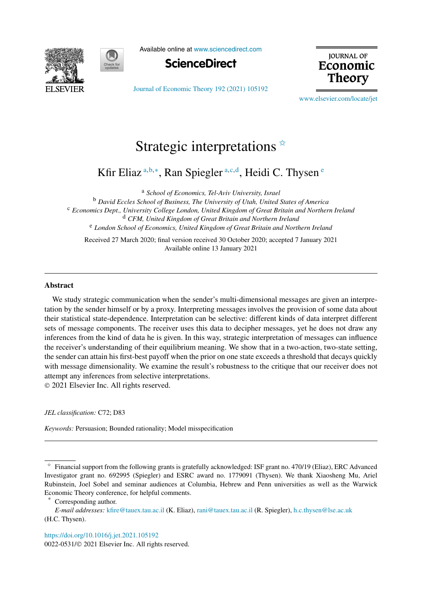



Available online at [www.sciencedirect.com](http://www.sciencedirect.com)



[Journal of Economic Theory 192 \(2021\) 105192](https://doi.org/10.1016/j.jet.2021.105192)

**JOURNAL OF** Economic **Theory** 

[www.elsevier.com/locate/jet](http://www.elsevier.com/locate/jet)

# Strategic interpretations  $\overline{\mathbf{x}}$

Kfir Eliaz <sup>a</sup>*,*b*,*<sup>∗</sup> , Ran Spiegler <sup>a</sup>*,*c*,*<sup>d</sup> , Heidi C. Thysen <sup>e</sup>

<sup>a</sup> *School of Economics, Tel-Aviv University, Israel*

<sup>b</sup> *David Eccles School of Business, The University of Utah, United States of America* <sup>c</sup> *Economics Dept., University College London, United Kingdom of Great Britain and Northern Ireland* <sup>d</sup> *CFM, United Kingdom of Great Britain and Northern Ireland* <sup>e</sup> *London School of Economics, United Kingdom of Great Britain and Northern Ireland*

Received 27 March 2020; final version received 30 October 2020; accepted 7 January 2021 Available online 13 January 2021

#### **Abstract**

We study strategic communication when the sender's multi-dimensional messages are given an interpretation by the sender himself or by a proxy. Interpreting messages involves the provision of some data about their statistical state-dependence. Interpretation can be selective: different kinds of data interpret different sets of message components. The receiver uses this data to decipher messages, yet he does not draw any inferences from the kind of data he is given. In this way, strategic interpretation of messages can influence the receiver's understanding of their equilibrium meaning. We show that in a two-action, two-state setting, the sender can attain his first-best payoff when the prior on one state exceeds a threshold that decays quickly with message dimensionality. We examine the result's robustness to the critique that our receiver does not attempt any inferences from selective interpretations. © 2021 Elsevier Inc. All rights reserved.

*JEL classification:* C72; D83

*Keywords:* Persuasion; Bounded rationality; Model misspecification

Corresponding author.

<https://doi.org/10.1016/j.jet.2021.105192> 0022-0531/© 2021 Elsevier Inc. All rights reserved.

 $*$  Financial support from the following grants is gratefully acknowledged: ISF grant no. 470/19 (Eliaz), ERC Advanced Investigator grant no. 692995 (Spiegler) and ESRC award no. 1779091 (Thysen). We thank Xiaosheng Mu, Ariel Rubinstein, Joel Sobel and seminar audiences at Columbia, Hebrew and Penn universities as well as the Warwick Economic Theory conference, for helpful comments.

*E-mail addresses:* [kfire@tauex.tau.ac.il](mailto:kfire@tauex.tau.ac.il) (K. Eliaz), [rani@tauex.tau.ac.il](mailto:rani@tauex.tau.ac.il) (R. Spiegler), [h.c.thysen@lse.ac.uk](mailto:h.c.thysen@lse.ac.uk) (H.C. Thysen).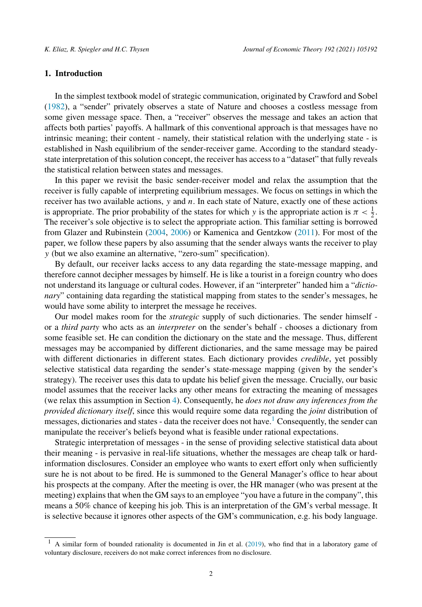# **1. Introduction**

In the simplest textbook model of strategic communication, originated by Crawford and Sobel ([1982\)](#page-24-0), a "sender" privately observes a state of Nature and chooses a costless message from some given message space. Then, a "receiver" observes the message and takes an action that affects both parties' payoffs. A hallmark of this conventional approach is that messages have no intrinsic meaning; their content - namely, their statistical relation with the underlying state - is established in Nash equilibrium of the sender-receiver game. According to the standard steadystate interpretation of this solution concept, the receiver has access to a "dataset" that fully reveals the statistical relation between states and messages.

In this paper we revisit the basic sender-receiver model and relax the assumption that the receiver is fully capable of interpreting equilibrium messages. We focus on settings in which the receiver has two available actions, *y* and *n*. In each state of Nature, exactly one of these actions is appropriate. The prior probability of the states for which *y* is the appropriate action is  $\pi < \frac{1}{2}$ . The receiver's sole objective is to select the appropriate action. This familiar setting is borrowed from Glazer and Rubinstein ([2004,](#page-24-0) [2006](#page-24-0)) or Kamenica and Gentzkow [\(2011](#page-24-0)). For most of the paper, we follow these papers by also assuming that the sender always wants the receiver to play *y* (but we also examine an alternative, "zero-sum" specification).

By default, our receiver lacks access to any data regarding the state-message mapping, and therefore cannot decipher messages by himself. He is like a tourist in a foreign country who does not understand its language or cultural codes. However, if an "interpreter" handed him a "*dictionary*" containing data regarding the statistical mapping from states to the sender's messages, he would have some ability to interpret the message he receives.

Our model makes room for the *strategic* supply of such dictionaries. The sender himself or a *third party* who acts as an *interpreter* on the sender's behalf - chooses a dictionary from some feasible set. He can condition the dictionary on the state and the message. Thus, different messages may be accompanied by different dictionaries, and the same message may be paired with different dictionaries in different states. Each dictionary provides *credible*, yet possibly selective statistical data regarding the sender's state-message mapping (given by the sender's strategy). The receiver uses this data to update his belief given the message. Crucially, our basic model assumes that the receiver lacks any other means for extracting the meaning of messages (we relax this assumption in Section [4\)](#page-12-0). Consequently, he *does not draw any inferences from the provided dictionary itself*, since this would require some data regarding the *joint* distribution of messages, dictionaries and states - data the receiver does not have.<sup>1</sup> Consequently, the sender can manipulate the receiver's beliefs beyond what is feasible under rational expectations.

Strategic interpretation of messages - in the sense of providing selective statistical data about their meaning - is pervasive in real-life situations, whether the messages are cheap talk or hardinformation disclosures. Consider an employee who wants to exert effort only when sufficiently sure he is not about to be fired. He is summoned to the General Manager's office to hear about his prospects at the company. After the meeting is over, the HR manager (who was present at the meeting) explains that when the GM says to an employee "you have a future in the company", this means a 50% chance of keeping his job. This is an interpretation of the GM's verbal message. It is selective because it ignores other aspects of the GM's communication, e.g. his body language.

<sup>&</sup>lt;sup>1</sup> A similar form of bounded rationality is documented in Jin et al. [\(2019](#page-24-0)), who find that in a laboratory game of voluntary disclosure, receivers do not make correct inferences from no disclosure.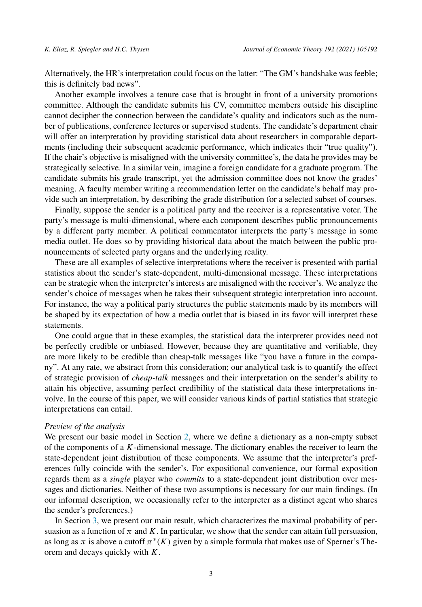Alternatively, the HR's interpretation could focus on the latter: "The GM's handshake was feeble; this is definitely bad news".

Another example involves a tenure case that is brought in front of a university promotions committee. Although the candidate submits his CV, committee members outside his discipline cannot decipher the connection between the candidate's quality and indicators such as the number of publications, conference lectures or supervised students. The candidate's department chair will offer an interpretation by providing statistical data about researchers in comparable departments (including their subsequent academic performance, which indicates their "true quality"). If the chair's objective is misaligned with the university committee's, the data he provides may be strategically selective. In a similar vein, imagine a foreign candidate for a graduate program. The candidate submits his grade transcript, yet the admission committee does not know the grades' meaning. A faculty member writing a recommendation letter on the candidate's behalf may provide such an interpretation, by describing the grade distribution for a selected subset of courses.

Finally, suppose the sender is a political party and the receiver is a representative voter. The party's message is multi-dimensional, where each component describes public pronouncements by a different party member. A political commentator interprets the party's message in some media outlet. He does so by providing historical data about the match between the public pronouncements of selected party organs and the underlying reality.

These are all examples of selective interpretations where the receiver is presented with partial statistics about the sender's state-dependent, multi-dimensional message. These interpretations can be strategic when the interpreter's interests are misaligned with the receiver's. We analyze the sender's choice of messages when he takes their subsequent strategic interpretation into account. For instance, the way a political party structures the public statements made by its members will be shaped by its expectation of how a media outlet that is biased in its favor will interpret these statements.

One could argue that in these examples, the statistical data the interpreter provides need not be perfectly credible or unbiased. However, because they are quantitative and verifiable, they are more likely to be credible than cheap-talk messages like "you have a future in the company". At any rate, we abstract from this consideration; our analytical task is to quantify the effect of strategic provision of *cheap-talk* messages and their interpretation on the sender's ability to attain his objective, assuming perfect credibility of the statistical data these interpretations involve. In the course of this paper, we will consider various kinds of partial statistics that strategic interpretations can entail.

# *Preview of the analysis*

We present our basic model in Section [2](#page-3-0), where we define a dictionary as a non-empty subset of the components of a *K*-dimensional message. The dictionary enables the receiver to learn the state-dependent joint distribution of these components. We assume that the interpreter's preferences fully coincide with the sender's. For expositional convenience, our formal exposition regards them as a *single* player who *commits* to a state-dependent joint distribution over messages and dictionaries. Neither of these two assumptions is necessary for our main findings. (In our informal description, we occasionally refer to the interpreter as a distinct agent who shares the sender's preferences.)

In Section [3,](#page-7-0) we present our main result, which characterizes the maximal probability of persuasion as a function of  $\pi$  and  $K$ . In particular, we show that the sender can attain full persuasion, as long as  $\pi$  is above a cutoff  $\pi$ <sup>\*</sup>(K) given by a simple formula that makes use of Sperner's Theorem and decays quickly with *K*.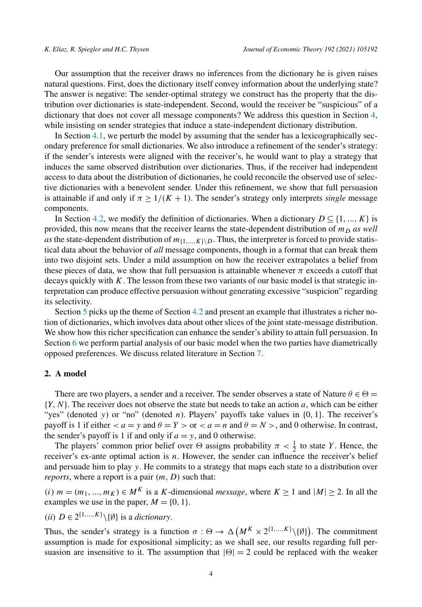<span id="page-3-0"></span>Our assumption that the receiver draws no inferences from the dictionary he is given raises natural questions. First, does the dictionary itself convey information about the underlying state? The answer is negative: The sender-optimal strategy we construct has the property that the distribution over dictionaries is state-independent. Second, would the receiver be "suspicious" of a dictionary that does not cover all message components? We address this question in Section [4,](#page-12-0) while insisting on sender strategies that induce a state-independent dictionary distribution.

In Section [4.1](#page-12-0), we perturb the model by assuming that the sender has a lexicographically secondary preference for small dictionaries. We also introduce a refinement of the sender's strategy: if the sender's interests were aligned with the receiver's, he would want to play a strategy that induces the same observed distribution over dictionaries. Thus, if the receiver had independent access to data about the distribution of dictionaries, he could reconcile the observed use of selective dictionaries with a benevolent sender. Under this refinement, we show that full persuasion is attainable if and only if  $\pi \geq 1/(K + 1)$ . The sender's strategy only interprets *single* message components.

In Section [4.2,](#page-13-0) we modify the definition of dictionaries. When a dictionary  $D \subseteq \{1, ..., K\}$  is provided, this now means that the receiver learns the state-dependent distribution of  $m<sub>D</sub>$  *as well as* the state-dependent distribution of  $m_{\{1,\ldots,K\}}$ . Thus, the interpreter is forced to provide statistical data about the behavior of *all* message components, though in a format that can break them into two disjoint sets. Under a mild assumption on how the receiver extrapolates a belief from these pieces of data, we show that full persuasion is attainable whenever  $\pi$  exceeds a cutoff that decays quickly with *K*. The lesson from these two variants of our basic model is that strategic interpretation can produce effective persuasion without generating excessive "suspicion" regarding its selectivity.

Section [5](#page-14-0) picks up the theme of Section [4.2](#page-13-0) and present an example that illustrates a richer notion of dictionaries, which involves data about other slices of the joint state-message distribution. We show how this richer specification can enhance the sender's ability to attain full persuasion. In Section [6](#page-16-0) we perform partial analysis of our basic model when the two parties have diametrically opposed preferences. We discuss related literature in Section [7.](#page-17-0)

# **2. A model**

There are two players, a sender and a receiver. The sender observes a state of Nature  $\theta \in \Theta$  = {*Y,N*}. The receiver does not observe the state but needs to take an action *a*, which can be either "yes" (denoted *y*) or "no" (denoted *n*). Players' payoffs take values in {0*,* 1}. The receiver's payoff is 1 if either  $\lt a = y$  and  $\theta = Y >$  or  $\lt a = n$  and  $\theta = N >$ , and 0 otherwise. In contrast, the sender's payoff is 1 if and only if  $a = y$ , and 0 otherwise.

The players' common prior belief over  $\Theta$  assigns probability  $\pi < \frac{1}{2}$  to state *Y*. Hence, the receiver's ex-ante optimal action is *n*. However, the sender can influence the receiver's belief and persuade him to play *y*. He commits to a strategy that maps each state to a distribution over *reports*, where a report is a pair *(m, D)* such that:

*(i)*  $m = (m_1, ..., m_K)$  ∈  $M^K$  is a *K*-dimensional *message*, where  $K ≥ 1$  and  $|M| ≥ 2$ . In all the examples we use in the paper,  $M = \{0, 1\}.$ 

 $(iii)$  *D* ∈ 2<sup>{1*,...,K*}</sup> $\setminus$ {∅} is a *dictionary*.

Thus, the sender's strategy is a function  $\sigma : \Theta \to \Delta \left( M^K \times 2^{\{1,\dots,K\}} \setminus \{\emptyset\} \right)$ . The commitment assumption is made for expositional simplicity; as we shall see, our results regarding full persuasion are insensitive to it. The assumption that  $|\Theta| = 2$  could be replaced with the weaker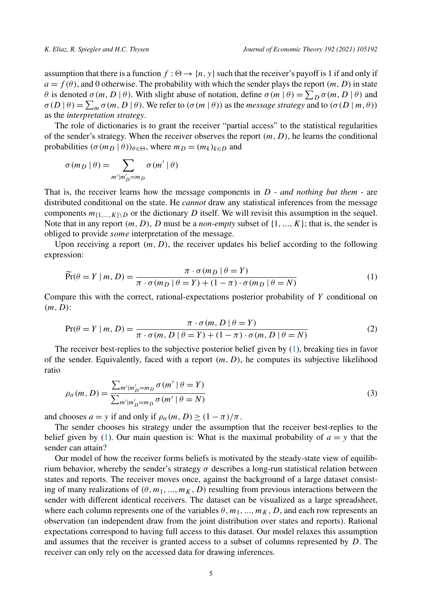<span id="page-4-0"></span>assumption that there is a function  $f : \Theta \to \{n, y\}$  such that the receiver's payoff is 1 if and only if  $a = f(\theta)$ , and 0 otherwise. The probability with which the sender plays the report *(m, D)* in state *θ* is denoted  $\sigma(m, D | \theta)$ . With slight abuse of notation, define  $\sigma(m | \theta) = \sum_D \sigma(m, D | \theta)$  and  $\sigma(D | \theta) = \sum_m \sigma(m, D | \theta)$ . We refer to  $(\sigma(m | \theta))$  as the *message strategy* and to  $(\sigma(D | m, \theta))$ as the *interpretation strategy*.

The role of dictionaries is to grant the receiver "partial access" to the statistical regularities of the sender's strategy. When the receiver observes the report *(m, D)*, he learns the conditional probabilities  $(\sigma(m_D \mid \theta))_{\theta \in \Theta}$ , where  $m_D = (m_k)_{k \in D}$  and

$$
\sigma(m_D | \theta) = \sum_{m'|m'_D = m_D} \sigma(m' | \theta)
$$

That is, the receiver learns how the message components in *D* - *and nothing but them* - are distributed conditional on the state. He *cannot* draw any statistical inferences from the message components  $m_{\{1,\ldots,K\}\backslash D}$  or the dictionary *D* itself. We will revisit this assumption in the sequel. Note that in any report  $(m, D)$ , *D* must be a *non-empty* subset of  $\{1, ..., K\}$ ; that is, the sender is obliged to provide *some* interpretation of the message.

Upon receiving a report  $(m, D)$ , the receiver updates his belief according to the following expression:

$$
\widetilde{\Pr}(\theta = Y \mid m, D) = \frac{\pi \cdot \sigma(m_D \mid \theta = Y)}{\pi \cdot \sigma(m_D \mid \theta = Y) + (1 - \pi) \cdot \sigma(m_D \mid \theta = N)}
$$
(1)

Compare this with the correct, rational-expectations posterior probability of *Y* conditional on *(m, D)*:

$$
Pr(\theta = Y | m, D) = \frac{\pi \cdot \sigma(m, D | \theta = Y)}{\pi \cdot \sigma(m, D | \theta = Y) + (1 - \pi) \cdot \sigma(m, D | \theta = N)}
$$
(2)

The receiver best-replies to the subjective posterior belief given by (1), breaking ties in favor of the sender. Equivalently, faced with a report  $(m, D)$ , he computes its subjective likelihood ratio

$$
\rho_{\sigma}(m, D) = \frac{\sum_{m'|m'_{D}=m_{D}} \sigma(m' \mid \theta = Y)}{\sum_{m'|m'_{D}=m_{D}} \sigma(m' \mid \theta = N)}
$$
\n(3)

and chooses  $a = y$  if and only if  $\rho_{\sigma}(m, D) \geq (1 - \pi)/\pi$ .

The sender chooses his strategy under the assumption that the receiver best-replies to the belief given by (1). Our main question is: What is the maximal probability of  $a = y$  that the sender can attain?

Our model of how the receiver forms beliefs is motivated by the steady-state view of equilibrium behavior, whereby the sender's strategy  $\sigma$  describes a long-run statistical relation between states and reports. The receiver moves once, against the background of a large dataset consisting of many realizations of  $(\theta, m_1, ..., m_K, D)$  resulting from previous interactions between the sender with different identical receivers. The dataset can be visualized as a large spreadsheet, where each column represents one of the variables  $\theta$ ,  $m_1$ , ...,  $m_K$ , *D*, and each row represents an observation (an independent draw from the joint distribution over states and reports). Rational expectations correspond to having full access to this dataset. Our model relaxes this assumption and assumes that the receiver is granted access to a subset of columns represented by *D*. The receiver can only rely on the accessed data for drawing inferences.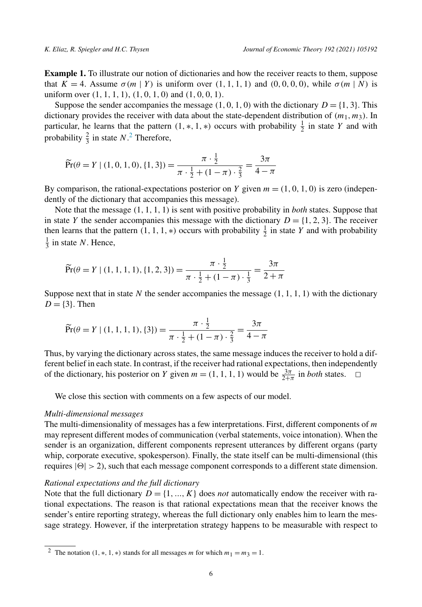<span id="page-5-0"></span>**Example 1.** To illustrate our notion of dictionaries and how the receiver reacts to them, suppose that  $K = 4$ . Assume  $\sigma(m | Y)$  is uniform over  $(1, 1, 1, 1)$  and  $(0, 0, 0, 0)$ , while  $\sigma(m | N)$  is uniform over *(*1*,* 1*,* 1*,* 1*)*, *(*1*,* 0*,* 1*,* 0*)* and *(*1*,* 0*,* 0*,* 1*)*.

Suppose the sender accompanies the message  $(1, 0, 1, 0)$  with the dictionary  $D = \{1, 3\}$ . This dictionary provides the receiver with data about the state-dependent distribution of *(m*1*,m*3*)*. In particular, he learns that the pattern  $(1, *, 1, *)$  occurs with probability  $\frac{1}{2}$  in state *Y* and with probability  $\frac{2}{3}$  in state *N*.<sup>2</sup> Therefore,

$$
\widetilde{\Pr}(\theta = Y \mid (1, 0, 1, 0), \{1, 3\}) = \frac{\pi \cdot \frac{1}{2}}{\pi \cdot \frac{1}{2} + (1 - \pi) \cdot \frac{2}{3}} = \frac{3\pi}{4 - \pi}
$$

By comparison, the rational-expectations posterior on *Y* given  $m = (1, 0, 1, 0)$  is zero (independently of the dictionary that accompanies this message).

Note that the message *(*1*,* 1*,* 1*,* 1*)* is sent with positive probability in *both* states. Suppose that in state *Y* the sender accompanies this message with the dictionary  $D = \{1, 2, 3\}$ . The receiver then learns that the pattern  $(1, 1, 1, *)$  occurs with probability  $\frac{1}{2}$  in state *Y* and with probability  $\frac{1}{3}$  in state *N*. Hence,

$$
\widetilde{\Pr}(\theta = Y \mid (1, 1, 1, 1), \{1, 2, 3\}) = \frac{\pi \cdot \frac{1}{2}}{\pi \cdot \frac{1}{2} + (1 - \pi) \cdot \frac{1}{3}} = \frac{3\pi}{2 + \pi}
$$

Suppose next that in state N the sender accompanies the message  $(1, 1, 1, 1)$  with the dictionary  $D = \{3\}$ . Then

$$
\widetilde{\Pr}(\theta = Y \mid (1, 1, 1, 1), \{3\}) = \frac{\pi \cdot \frac{1}{2}}{\pi \cdot \frac{1}{2} + (1 - \pi) \cdot \frac{2}{3}} = \frac{3\pi}{4 - \pi}
$$

Thus, by varying the dictionary across states, the same message induces the receiver to hold a different belief in each state. In contrast, if the receiver had rational expectations, then independently of the dictionary, his posterior on *Y* given  $m = (1, 1, 1, 1)$  would be  $\frac{3\pi}{2+\pi}$  in *both* states.  $\Box$ 

We close this section with comments on a few aspects of our model.

#### *Multi-dimensional messages*

The multi-dimensionality of messages has a few interpretations. First, different components of *m* may represent different modes of communication (verbal statements, voice intonation). When the sender is an organization, different components represent utterances by different organs (party whip, corporate executive, spokesperson). Finally, the state itself can be multi-dimensional (this requires  $|\Theta| > 2$ ), such that each message component corresponds to a different state dimension.

# *Rational expectations and the full dictionary*

Note that the full dictionary  $D = \{1, ..., K\}$  does *not* automatically endow the receiver with rational expectations. The reason is that rational expectations mean that the receiver knows the sender's entire reporting strategy, whereas the full dictionary only enables him to learn the message strategy. However, if the interpretation strategy happens to be measurable with respect to

<sup>&</sup>lt;sup>2</sup> The notation (1,  $*, 1, *)$  stands for all messages *m* for which  $m_1 = m_3 = 1$ .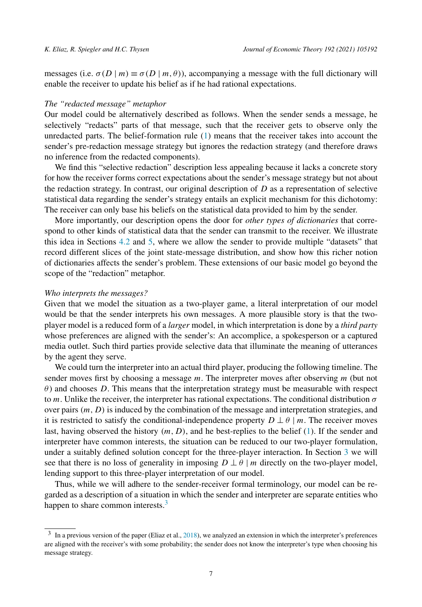messages (i.e.  $\sigma(D | m) \equiv \sigma(D | m, \theta)$ ), accompanying a message with the full dictionary will enable the receiver to update his belief as if he had rational expectations.

## *The "redacted message" metaphor*

Our model could be alternatively described as follows. When the sender sends a message, he selectively "redacts" parts of that message, such that the receiver gets to observe only the unredacted parts. The belief-formation rule [\(1](#page-4-0)) means that the receiver takes into account the sender's pre-redaction message strategy but ignores the redaction strategy (and therefore draws no inference from the redacted components).

We find this "selective redaction" description less appealing because it lacks a concrete story for how the receiver forms correct expectations about the sender's message strategy but not about the redaction strategy. In contrast, our original description of *D* as a representation of selective statistical data regarding the sender's strategy entails an explicit mechanism for this dichotomy: The receiver can only base his beliefs on the statistical data provided to him by the sender.

More importantly, our description opens the door for *other types of dictionaries* that correspond to other kinds of statistical data that the sender can transmit to the receiver. We illustrate this idea in Sections [4.2](#page-13-0) and [5,](#page-14-0) where we allow the sender to provide multiple "datasets" that record different slices of the joint state-message distribution, and show how this richer notion of dictionaries affects the sender's problem. These extensions of our basic model go beyond the scope of the "redaction" metaphor.

#### *Who interprets the messages?*

Given that we model the situation as a two-player game, a literal interpretation of our model would be that the sender interprets his own messages. A more plausible story is that the twoplayer model is a reduced form of a *larger* model, in which interpretation is done by a *third party* whose preferences are aligned with the sender's: An accomplice, a spokesperson or a captured media outlet. Such third parties provide selective data that illuminate the meaning of utterances by the agent they serve.

We could turn the interpreter into an actual third player, producing the following timeline. The sender moves first by choosing a message *m*. The interpreter moves after observing *m* (but not *θ* ) and chooses *D*. This means that the interpretation strategy must be measurable with respect to *m*. Unlike the receiver, the interpreter has rational expectations. The conditional distribution *σ* over pairs *(m, D)* is induced by the combination of the message and interpretation strategies, and it is restricted to satisfy the conditional-independence property  $D \perp \theta \mid m$ . The receiver moves last, having observed the history *(m, D)*, and he best-replies to the belief ([1\)](#page-4-0). If the sender and interpreter have common interests, the situation can be reduced to our two-player formulation, under a suitably defined solution concept for the three-player interaction. In Section [3](#page-7-0) we will see that there is no loss of generality in imposing  $D \perp \theta \mid m$  directly on the two-player model, lending support to this three-player interpretation of our model.

Thus, while we will adhere to the sender-receiver formal terminology, our model can be regarded as a description of a situation in which the sender and interpreter are separate entities who happen to share common interests.<sup>3</sup>

<sup>3</sup> In a previous version of the paper (Eliaz et al., [2018\)](#page-24-0), we analyzed an extension in which the interpreter's preferences are aligned with the receiver's with some probability; the sender does not know the interpreter's type when choosing his message strategy.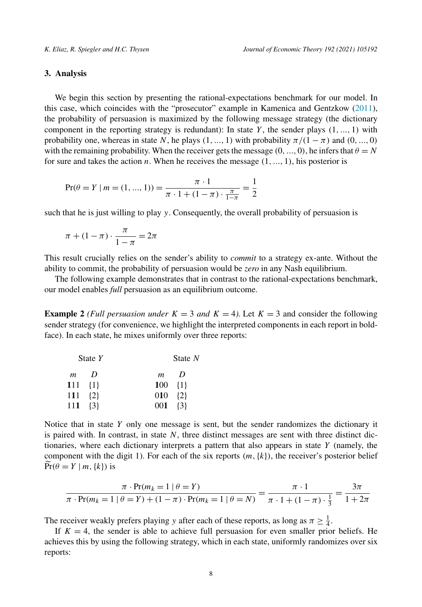## <span id="page-7-0"></span>**3. Analysis**

We begin this section by presenting the rational-expectations benchmark for our model. In this case, which coincides with the "prosecutor" example in Kamenica and Gentzkow ([2011\)](#page-24-0), the probability of persuasion is maximized by the following message strategy (the dictionary component in the reporting strategy is redundant): In state  $Y$ , the sender plays  $(1, ..., 1)$  with probability one, whereas in state *N*, he plays  $(1, ..., 1)$  with probability  $\pi/(1 - \pi)$  and  $(0, ..., 0)$ with the remaining probability. When the receiver gets the message  $(0, ..., 0)$ , he infers that  $\theta = N$ for sure and takes the action *n*. When he receives the message *(*1*,...,* 1*)*, his posterior is

$$
\Pr(\theta = Y \mid m = (1, ..., 1)) = \frac{\pi \cdot 1}{\pi \cdot 1 + (1 - \pi) \cdot \frac{\pi}{1 - \pi}} = \frac{1}{2}
$$

such that he is just willing to play *y*. Consequently, the overall probability of persuasion is

$$
\pi + (1 - \pi) \cdot \frac{\pi}{1 - \pi} = 2\pi
$$

This result crucially relies on the sender's ability to *commit* to a strategy ex-ante. Without the ability to commit, the probability of persuasion would be *zero* in any Nash equilibrium.

The following example demonstrates that in contrast to the rational-expectations benchmark, our model enables *full* persuasion as an equilibrium outcome.

**Example** 2 *(Full persuasion under*  $K = 3$  *and*  $K = 4$ *).* Let  $K = 3$  and consider the following sender strategy (for convenience, we highlight the interpreted components in each report in boldface). In each state, he mixes uniformly over three reports:

| State $Y$         |          |                | State $N$         |  |  |
|-------------------|----------|----------------|-------------------|--|--|
| m                 | $\prime$ | $\mathfrak{m}$ | D                 |  |  |
| $111 \t{1}$       |          | $100 \{1\}$    |                   |  |  |
| $111 \t{2}$       |          |                | $010 \quad \{2\}$ |  |  |
| $111 \quad \{3\}$ |          |                | $001 \quad \{3\}$ |  |  |

Notice that in state *Y* only one message is sent, but the sender randomizes the dictionary it is paired with. In contrast, in state *N*, three distinct messages are sent with three distinct dictionaries, where each dictionary interprets a pattern that also appears in state *Y* (namely, the component with the digit 1). For each of the six reports  $(m, \{k\})$ , the receiver's posterior belief  $Pr(\theta = Y | m, \{k\})$  is

$$
\frac{\pi \cdot \Pr(m_k = 1 \mid \theta = Y)}{\pi \cdot \Pr(m_k = 1 \mid \theta = Y) + (1 - \pi) \cdot \Pr(m_k = 1 \mid \theta = N)} = \frac{\pi \cdot 1}{\pi \cdot 1 + (1 - \pi) \cdot \frac{1}{3}} = \frac{3\pi}{1 + 2\pi}
$$

The receiver weakly prefers playing *y* after each of these reports, as long as  $\pi \geq \frac{1}{4}$ .

If  $K = 4$ , the sender is able to achieve full persuasion for even smaller prior beliefs. He achieves this by using the following strategy, which in each state, uniformly randomizes over six reports: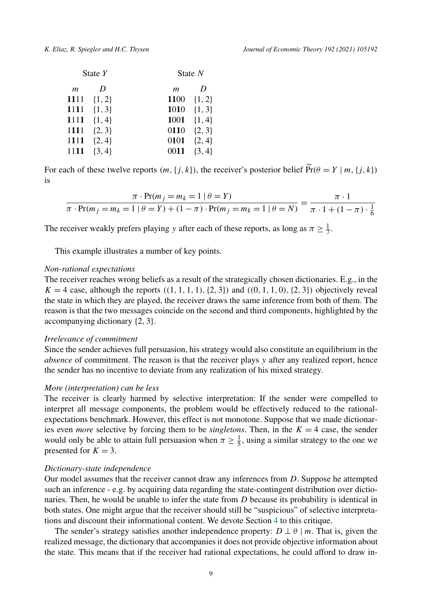|                  | State $Y$      |                | State $N$       |
|------------------|----------------|----------------|-----------------|
| $\boldsymbol{m}$ | D              | $\mathfrak{m}$ | D               |
|                  | 1111 $\{1,2\}$ |                | 1100 $\{1, 2\}$ |
|                  | 1111 $\{1,3\}$ | 1010           | $\{1, 3\}$      |
| 1111             | $\{1, 4\}$     | 1001           | $\{1, 4\}$      |
| 1111             | $\{2, 3\}$     | 0110           | $\{2, 3\}$      |
| 1111             | $\{2, 4\}$     | 0101           | $\{2, 4\}$      |
| 1111             | $\{3, 4\}$     | 0011           | $\{3, 4\}$      |

For each of these twelve reports  $(m, \{j, k\})$ , the receiver's posterior belief  $\widetilde{Pr}(\theta = Y | m, \{j, k\})$ is

$$
\frac{\pi \cdot \Pr(m_j = m_k = 1 \mid \theta = Y)}{\pi \cdot \Pr(m_j = m_k = 1 \mid \theta = Y) + (1 - \pi) \cdot \Pr(m_j = m_k = 1 \mid \theta = N)} = \frac{\pi \cdot 1}{\pi \cdot 1 + (1 - \pi) \cdot \frac{1}{6}}
$$

The receiver weakly prefers playing *y* after each of these reports, as long as  $\pi \ge \frac{1}{7}$ .

This example illustrates a number of key points.

# *Non-rational expectations*

The receiver reaches wrong beliefs as a result of the strategically chosen dictionaries. E.g., in the  $K = 4$  case, although the reports  $((1, 1, 1, 1), \{2, 3\})$  and  $((0, 1, 1, 0), \{2, 3\})$  objectively reveal the state in which they are played, the receiver draws the same inference from both of them. The reason is that the two messages coincide on the second and third components, highlighted by the accompanying dictionary {2*,* 3}.

#### *Irrelevance of commitment*

Since the sender achieves full persuasion, his strategy would also constitute an equilibrium in the *absence* of commitment. The reason is that the receiver plays *y* after any realized report, hence the sender has no incentive to deviate from any realization of his mixed strategy.

# *More (interpretation) can be less*

The receiver is clearly harmed by selective interpretation: If the sender were compelled to interpret all message components, the problem would be effectively reduced to the rationalexpectations benchmark. However, this effect is not monotone. Suppose that we made dictionaries even *more* selective by forcing them to be *singletons*. Then, in the  $K = 4$  case, the sender would only be able to attain full persuasion when  $\pi \ge \frac{1}{5}$ , using a similar strategy to the one we presented for  $K = 3$ .

#### *Dictionary-state independence*

Our model assumes that the receiver cannot draw any inferences from *D*. Suppose he attempted such an inference - e.g. by acquiring data regarding the state-contingent distribution over dictionaries. Then, he would be unable to infer the state from *D* because its probability is identical in both states. One might argue that the receiver should still be "suspicious" of selective interpretations and discount their informational content. We devote Section [4](#page-12-0) to this critique.

The sender's strategy satisfies another independence property:  $D \perp \theta \mid m$ . That is, given the realized message, the dictionary that accompanies it does not provide objective information about the state. This means that if the receiver had rational expectations, he could afford to draw in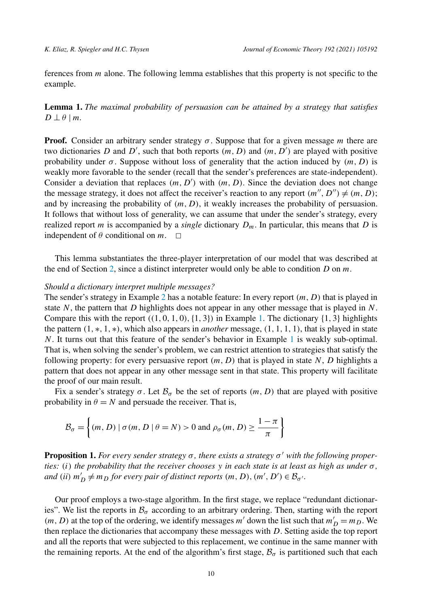<span id="page-9-0"></span>ferences from *m* alone. The following lemma establishes that this property is not specific to the example.

**Lemma 1.** *The maximal probability of persuasion can be attained by a strategy that satisfies*  $D \perp \theta \mid m$ .

**Proof.** Consider an arbitrary sender strategy  $\sigma$ . Suppose that for a given message *m* there are two dictionaries *D* and *D'*, such that both reports  $(m, D)$  and  $(m, D')$  are played with positive probability under  $\sigma$ . Suppose without loss of generality that the action induced by  $(m, D)$  is weakly more favorable to the sender (recall that the sender's preferences are state-independent). Consider a deviation that replaces  $(m, D')$  with  $(m, D)$ . Since the deviation does not change the message strategy, it does not affect the receiver's reaction to any report  $(m'', D'') \neq (m, D)$ ; and by increasing the probability of *(m, D)*, it weakly increases the probability of persuasion. It follows that without loss of generality, we can assume that under the sender's strategy, every realized report *m* is accompanied by a *single* dictionary  $D_m$ . In particular, this means that *D* is independent of  $\theta$  conditional on  $m$ .  $\square$ 

This lemma substantiates the three-player interpretation of our model that was described at the end of Section [2](#page-3-0), since a distinct interpreter would only be able to condition *D* on *m*.

## *Should a dictionary interpret multiple messages?*

The sender's strategy in Example [2](#page-7-0) has a notable feature: In every report *(m, D)* that is played in state *N*, the pattern that *D* highlights does not appear in any other message that is played in *N*. Compare this with the report  $((1, 0, 1, 0), (1, 3))$  in Example [1.](#page-5-0) The dictionary  $\{1, 3\}$  highlights the pattern  $(1, *, 1, *)$ , which also appears in *another* message,  $(1, 1, 1, 1)$ , that is played in state *N*. It turns out that this feature of the sender's behavior in Example [1](#page-5-0) is weakly sub-optimal. That is, when solving the sender's problem, we can restrict attention to strategies that satisfy the following property: for every persuasive report  $(m, D)$  that is played in state N, D highlights a pattern that does not appear in any other message sent in that state. This property will facilitate the proof of our main result.

Fix a sender's strategy  $\sigma$ . Let  $\mathcal{B}_{\sigma}$  be the set of reports  $(m, D)$  that are played with positive probability in  $\theta = N$  and persuade the receiver. That is,

$$
\mathcal{B}_{\sigma} = \left\{ (m, D) \mid \sigma(m, D \mid \theta = N) > 0 \text{ and } \rho_{\sigma}(m, D) \ge \frac{1 - \pi}{\pi} \right\}
$$

**Proposition 1.** *For every sender strategy σ , there exists a strategy σ with the following proper*ties: (i) the probability that the receiver chooses y in each state is at least as high as under  $\sigma$ , *and (ii)*  $m'_D \neq m_D$  *for every pair of distinct reports*  $(m, D), (m', D') \in \mathcal{B}_{\sigma'}$ .

Our proof employs a two-stage algorithm. In the first stage, we replace "redundant dictionaries". We list the reports in  $\mathcal{B}_{\sigma}$  according to an arbitrary ordering. Then, starting with the report  $(m, D)$  at the top of the ordering, we identify messages *m'* down the list such that  $m'_D = m_D$ . We then replace the dictionaries that accompany these messages with *D*. Setting aside the top report and all the reports that were subjected to this replacement, we continue in the same manner with the remaining reports. At the end of the algorithm's first stage,  $\mathcal{B}_{\sigma}$  is partitioned such that each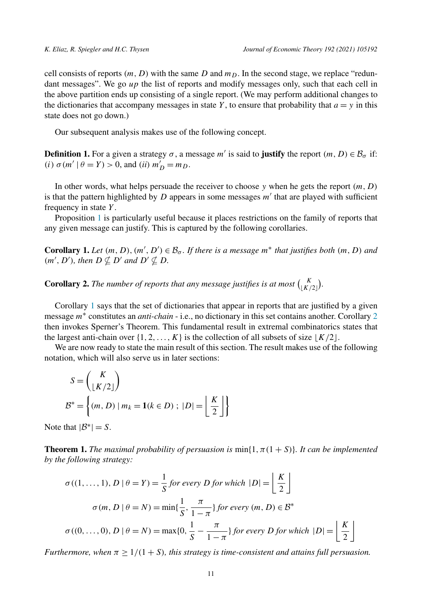<span id="page-10-0"></span>cell consists of reports  $(m, D)$  with the same D and  $m<sub>D</sub>$ . In the second stage, we replace "redundant messages". We go *up* the list of reports and modify messages only, such that each cell in the above partition ends up consisting of a single report. (We may perform additional changes to the dictionaries that accompany messages in state  $Y$ , to ensure that probability that  $a = y$  in this state does not go down.)

Our subsequent analysis makes use of the following concept.

**Definition 1.** For a given a strategy  $\sigma$ , a message *m'* is said to **justify** the report  $(m, D) \in \mathcal{B}_{\sigma}$  if: *(i)*  $\sigma(m' | \theta = Y) > 0$ , and *(ii)*  $m'_D = m_D$ .

In other words, what helps persuade the receiver to choose *y* when he gets the report *(m, D)* is that the pattern highlighted by  $D$  appears in some messages  $m'$  that are played with sufficient frequency in state *Y* .

Proposition [1](#page-9-0) is particularly useful because it places restrictions on the family of reports that any given message can justify. This is captured by the following corollaries.

**Corollary 1.** Let  $(m, D), (m', D') \in \mathcal{B}_{\sigma}$ . If there is a message  $m^*$  that justifies both  $(m, D)$  and  $(m', D')$ *, then*  $D \nsubseteq D'$  *and*  $D' \nsubseteq D$ *.* 

**Corollary 2.** The number of reports that any message justifies is at most  $\binom{K}{\lfloor K/2 \rfloor}$ .

Corollary 1 says that the set of dictionaries that appear in reports that are justified by a given message *m*<sup>∗</sup> constitutes an *anti-chain* - i.e., no dictionary in this set contains another. Corollary 2 then invokes Sperner's Theorem. This fundamental result in extremal combinatorics states that the largest anti-chain over  $\{1, 2, \ldots, K\}$  is the collection of all subsets of size  $\lfloor K/2 \rfloor$ .

We are now ready to state the main result of this section. The result makes use of the following notation, which will also serve us in later sections:

$$
S = {K \choose \lfloor K/2 \rfloor}
$$
  

$$
\mathcal{B}^* = \left\{ (m, D) \mid m_k = \mathbf{1}(k \in D) ; \ |D| = \left\lfloor \frac{K}{2} \right\rfloor \right\}
$$

Note that  $|\mathcal{B}^*| = S$ .

**Theorem 1.** *The maximal probability of persuasion is*  $\min\{1, \pi(1 + S)\}\$ *. It can be implemented by the following strategy:*

$$
\sigma((1, ..., 1), D \mid \theta = Y) = \frac{1}{S} \text{ for every } D \text{ for which } |D| = \left\lfloor \frac{K}{2} \right\rfloor
$$

$$
\sigma(m, D \mid \theta = N) = \min\{\frac{1}{S}, \frac{\pi}{1 - \pi}\} \text{ for every } (m, D) \in \mathcal{B}^*
$$

$$
\sigma((0, ..., 0), D \mid \theta = N) = \max\{0, \frac{1}{S} - \frac{\pi}{1 - \pi}\} \text{ for every } D \text{ for which } |D| = \left\lfloor \frac{K}{2} \right\rfloor
$$

*Furthermore, when*  $\pi \geq 1/(1+S)$ *, this strategy is time-consistent and attains full persuasion.*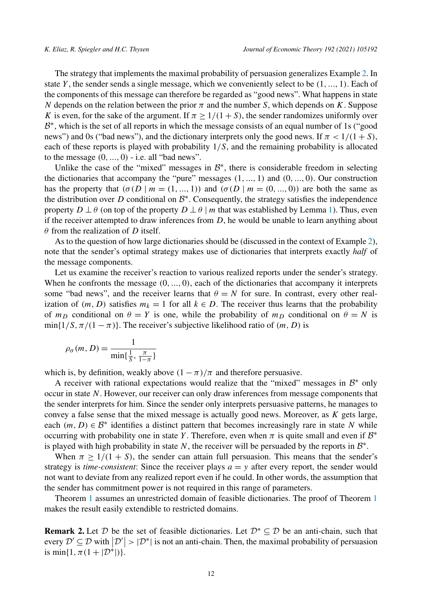<span id="page-11-0"></span>The strategy that implements the maximal probability of persuasion generalizes Example [2](#page-7-0). In state *Y* , the sender sends a single message, which we conveniently select to be *(*1*,...,* 1*)*. Each of the components of this message can therefore be regarded as "good news". What happens in state *N* depends on the relation between the prior *π* and the number *S*, which depends on *K*. Suppose *K* is even, for the sake of the argument. If  $\pi \ge 1/(1+S)$ , the sender randomizes uniformly over  $B^*$ , which is the set of all reports in which the message consists of an equal number of 1s ("good news") and 0s ("bad news"), and the dictionary interprets only the good news. If  $\pi$  <  $1/(1 + S)$ , each of these reports is played with probability 1*/S*, and the remaining probability is allocated to the message *(*0*,...,* 0*)* - i.e. all "bad news".

Unlike the case of the "mixed" messages in  $B^*$ , there is considerable freedom in selecting the dictionaries that accompany the "pure" messages *(*1*,...,* 1*)* and *(*0*,...,* 0*)*. Our construction has the property that  $(\sigma(D \mid m = (1, ..., 1))$  and  $(\sigma(D \mid m = (0, ..., 0))$  are both the same as the distribution over *D* conditional on  $B^*$ . Consequently, the strategy satisfies the independence property  $D \perp \theta$  (on top of the property  $D \perp \theta \mid m$  that was established by Lemma [1\)](#page-9-0). Thus, even if the receiver attempted to draw inferences from *D*, he would be unable to learn anything about *θ* from the realization of *D* itself.

As to the question of how large dictionaries should be (discussed in the context of Example [2](#page-7-0)), note that the sender's optimal strategy makes use of dictionaries that interprets exactly *half* of the message components.

Let us examine the receiver's reaction to various realized reports under the sender's strategy. When he confronts the message *(*0*,...,* 0*)*, each of the dictionaries that accompany it interprets some "bad news", and the receiver learns that  $\theta = N$  for sure. In contrast, every other realization of  $(m, D)$  satisfies  $m_k = 1$  for all  $k \in D$ . The receiver thus learns that the probability of  $m_D$  conditional on  $\theta = Y$  is one, while the probability of  $m_D$  conditional on  $\theta = N$  is  $min\{1/S, \pi/(1 - \pi)\}\$ . The receiver's subjective likelihood ratio of  $(m, D)$  is

$$
\rho_{\sigma}(m, D) = \frac{1}{\min\{\frac{1}{S}, \frac{\pi}{1-\pi}\}}
$$

which is, by definition, weakly above  $(1 - \pi)/\pi$  and therefore persuasive.

A receiver with rational expectations would realize that the "mixed" messages in  $\mathcal{B}^*$  only occur in state *N*. However, our receiver can only draw inferences from message components that the sender interprets for him. Since the sender only interprets persuasive patterns, he manages to convey a false sense that the mixed message is actually good news. Moreover, as *K* gets large, each  $(m, D) \in \mathcal{B}^*$  identifies a distinct pattern that becomes increasingly rare in state *N* while occurring with probability one in state *Y*. Therefore, even when  $\pi$  is quite small and even if  $\mathcal{B}^*$ is played with high probability in state  $N$ , the receiver will be persuaded by the reports in  $\mathcal{B}^*$ .

When  $\pi \geq 1/(1 + S)$ , the sender can attain full persuasion. This means that the sender's strategy is *time-consistent*: Since the receiver plays  $a = y$  after every report, the sender would not want to deviate from any realized report even if he could. In other words, the assumption that the sender has commitment power is not required in this range of parameters.

Theorem [1](#page-10-0) assumes an unrestricted domain of feasible dictionaries. The proof of Theorem [1](#page-10-0) makes the result easily extendible to restricted domains.

**Remark 2.** Let D be the set of feasible dictionaries. Let  $\mathcal{D}^* \subseteq \mathcal{D}$  be an anti-chain, such that every  $\mathcal{D}' \subseteq \mathcal{D}$  with  $|\mathcal{D}'| > |\mathcal{D}^*|$  is not an anti-chain. Then, the maximal probability of persuasion is min{ $1, \pi(1 + |\mathcal{D}^*|)$ }.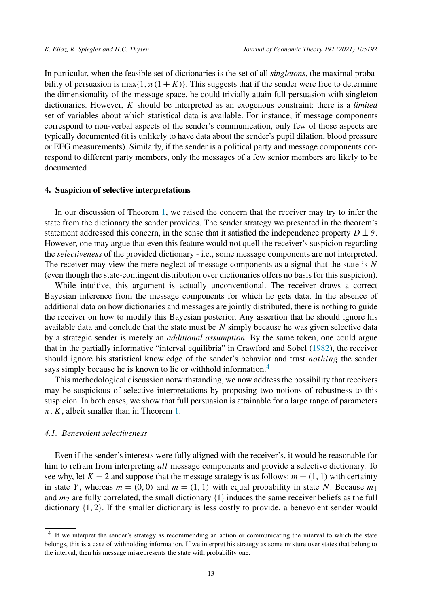<span id="page-12-0"></span>In particular, when the feasible set of dictionaries is the set of all *singletons*, the maximal probability of persuasion is max $\{1, \pi(1 + K)\}$ . This suggests that if the sender were free to determine the dimensionality of the message space, he could trivially attain full persuasion with singleton dictionaries. However, *K* should be interpreted as an exogenous constraint: there is a *limited* set of variables about which statistical data is available. For instance, if message components correspond to non-verbal aspects of the sender's communication, only few of those aspects are typically documented (it is unlikely to have data about the sender's pupil dilation, blood pressure or EEG measurements). Similarly, if the sender is a political party and message components correspond to different party members, only the messages of a few senior members are likely to be documented.

## **4. Suspicion of selective interpretations**

In our discussion of Theorem [1,](#page-10-0) we raised the concern that the receiver may try to infer the state from the dictionary the sender provides. The sender strategy we presented in the theorem's statement addressed this concern, in the sense that it satisfied the independence property  $D \perp \theta$ . However, one may argue that even this feature would not quell the receiver's suspicion regarding the *selectiveness* of the provided dictionary - i.e., some message components are not interpreted. The receiver may view the mere neglect of message components as a signal that the state is *N* (even though the state-contingent distribution over dictionaries offers no basis for this suspicion).

While intuitive, this argument is actually unconventional. The receiver draws a correct Bayesian inference from the message components for which he gets data. In the absence of additional data on how dictionaries and messages are jointly distributed, there is nothing to guide the receiver on how to modify this Bayesian posterior. Any assertion that he should ignore his available data and conclude that the state must be *N* simply because he was given selective data by a strategic sender is merely an *additional assumption*. By the same token, one could argue that in the partially informative "interval equilibria" in Crawford and Sobel [\(1982](#page-24-0)), the receiver should ignore his statistical knowledge of the sender's behavior and trust *nothing* the sender says simply because he is known to lie or withhold information.<sup>4</sup>

This methodological discussion notwithstanding, we now address the possibility that receivers may be suspicious of selective interpretations by proposing two notions of robustness to this suspicion. In both cases, we show that full persuasion is attainable for a large range of parameters  $\pi$ , *K*, albeit smaller than in Theorem [1](#page-10-0).

#### *4.1. Benevolent selectiveness*

Even if the sender's interests were fully aligned with the receiver's, it would be reasonable for him to refrain from interpreting *all* message components and provide a selective dictionary. To see why, let  $K = 2$  and suppose that the message strategy is as follows:  $m = (1, 1)$  with certainty in state *Y*, whereas  $m = (0, 0)$  and  $m = (1, 1)$  with equal probability in state *N*. Because  $m_1$ and *m*<sup>2</sup> are fully correlated, the small dictionary {1} induces the same receiver beliefs as the full dictionary {1*,* 2}. If the smaller dictionary is less costly to provide, a benevolent sender would

<sup>4</sup> If we interpret the sender's strategy as recommending an action or communicating the interval to which the state belongs, this is a case of withholding information. If we interpret his strategy as some mixture over states that belong to the interval, then his message misrepresents the state with probability one.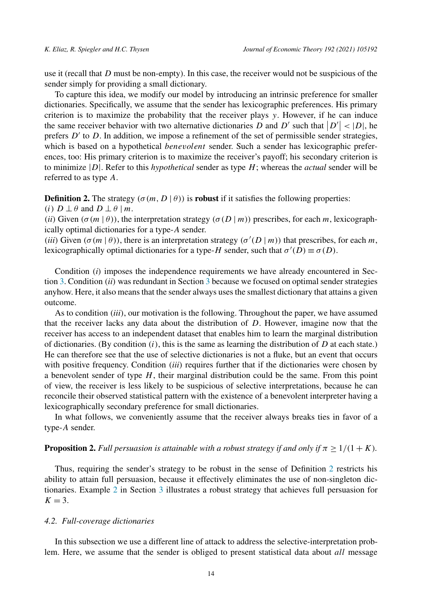<span id="page-13-0"></span>use it (recall that *D* must be non-empty). In this case, the receiver would not be suspicious of the sender simply for providing a small dictionary.

To capture this idea, we modify our model by introducing an intrinsic preference for smaller dictionaries. Specifically, we assume that the sender has lexicographic preferences. His primary criterion is to maximize the probability that the receiver plays *y*. However, if he can induce the same receiver behavior with two alternative dictionaries *D* and *D'* such that  $|D'| < |D|$ , he prefers  $D'$  to  $D$ . In addition, we impose a refinement of the set of permissible sender strategies, which is based on a hypothetical *benevolent* sender. Such a sender has lexicographic preferences, too: His primary criterion is to maximize the receiver's payoff; his secondary criterion is to minimize |*D*|. Refer to this *hypothetical* sender as type *H*; whereas the *actual* sender will be referred to as type *A*.

**Definition 2.** The strategy  $(\sigma(m, D | \theta))$  is **robust** if it satisfies the following properties:

*(i)*  $D \perp \theta$  and  $D \perp \theta$  | *m*.

*(ii)* Given  $(\sigma(m | \theta))$ , the interpretation strategy  $(\sigma(D | m))$  prescribes, for each *m*, lexicographically optimal dictionaries for a type-*A* sender.

*(iii)* Given  $(\sigma(m | \theta))$ , there is an interpretation strategy  $(\sigma'(D | m))$  that prescribes, for each *m*, lexicographically optimal dictionaries for a type-*H* sender, such that  $\sigma'(D) \equiv \sigma(D)$ .

Condition *(i)* imposes the independence requirements we have already encountered in Section [3](#page-7-0). Condition *(ii)* was redundant in Section [3](#page-7-0) because we focused on optimal sender strategies anyhow. Here, it also meansthat the sender always usesthe smallest dictionary that attains a given outcome.

As to condition *(iii)*, our motivation is the following. Throughout the paper, we have assumed that the receiver lacks any data about the distribution of *D*. However, imagine now that the receiver has access to an independent dataset that enables him to learn the marginal distribution of dictionaries. (By condition  $(i)$ , this is the same as learning the distribution of  $D$  at each state.) He can therefore see that the use of selective dictionaries is not a fluke, but an event that occurs with positive frequency. Condition *(iii)* requires further that if the dictionaries were chosen by a benevolent sender of type *H*, their marginal distribution could be the same. From this point of view, the receiver is less likely to be suspicious of selective interpretations, because he can reconcile their observed statistical pattern with the existence of a benevolent interpreter having a lexicographically secondary preference for small dictionaries.

In what follows, we conveniently assume that the receiver always breaks ties in favor of a type-*A* sender.

# **Proposition 2.** *Full persuasion is attainable with a robust strategy if and only if*  $\pi \geq 1/(1+K)$ *.*

Thus, requiring the sender's strategy to be robust in the sense of Definition 2 restricts his ability to attain full persuasion, because it effectively eliminates the use of non-singleton dictionaries. Example [2](#page-7-0) in Section [3](#page-7-0) illustrates a robust strategy that achieves full persuasion for  $K = 3$ .

#### *4.2. Full-coverage dictionaries*

In this subsection we use a different line of attack to address the selective-interpretation problem. Here, we assume that the sender is obliged to present statistical data about *all* message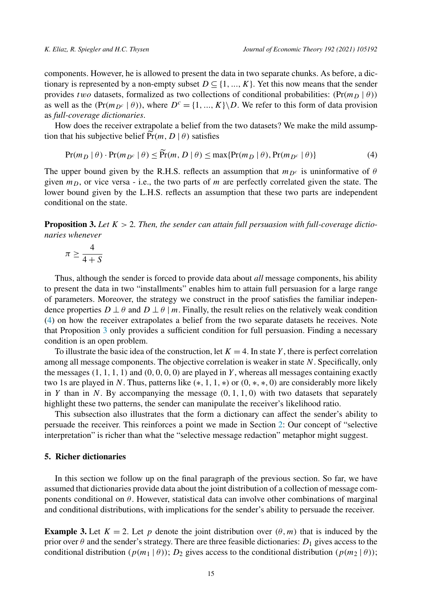<span id="page-14-0"></span>components. However, he is allowed to present the data in two separate chunks. As before, a dictionary is represented by a non-empty subset  $D \subseteq \{1, ..., K\}$ . Yet this now means that the sender provides *two* datasets, formalized as two collections of conditional probabilities:  $(\Pr(m_D | \theta))$ as well as the  $(\Pr(m_{D^c} \mid \theta))$ , where  $D^c = \{1, ..., K\} \backslash D$ . We refer to this form of data provision as *full-coverage dictionaries*.

How does the receiver extrapolate a belief from the two datasets? We make the mild assumption that his subjective belief  $\widetilde{Pr}(m, D | \theta)$  satisfies

$$
\Pr(m_D \mid \theta) \cdot \Pr(m_{D^c} \mid \theta) \le \widetilde{\Pr}(m, D \mid \theta) \le \max\{\Pr(m_D \mid \theta), \Pr(m_{D^c} \mid \theta)\}\tag{4}
$$

The upper bound given by the R.H.S. reflects an assumption that  $m_{D<sup>c</sup>}$  is uninformative of  $\theta$ given  $m<sub>D</sub>$ , or vice versa - i.e., the two parts of  $m$  are perfectly correlated given the state. The lower bound given by the L.H.S. reflects an assumption that these two parts are independent conditional on the state.

**Proposition 3.** Let  $K > 2$ . Then, the sender can attain full persuasion with full-coverage dictio*naries whenever*

$$
\pi \geq \frac{4}{4+S}
$$

Thus, although the sender is forced to provide data about *all* message components, his ability to present the data in two "installments" enables him to attain full persuasion for a large range of parameters. Moreover, the strategy we construct in the proof satisfies the familiar independence properties  $D \perp \theta$  and  $D \perp \theta$  | *m*. Finally, the result relies on the relatively weak condition (4) on how the receiver extrapolates a belief from the two separate datasets he receives. Note that Proposition 3 only provides a sufficient condition for full persuasion. Finding a necessary condition is an open problem.

To illustrate the basic idea of the construction, let  $K = 4$ . In state *Y*, there is perfect correlation among all message components. The objective correlation is weaker in state *N*. Specifically, only the messages *(*1*,* 1*,* 1*,* 1*)* and *(*0*,* 0*,* 0*,* 0*)* are played in *Y* , whereas all messages containing exactly two 1s are played in *N*. Thus, patterns like *(*∗*,* 1*,* 1*,* ∗*)* or *(*0*,* ∗*,* ∗*,* 0*)* are considerably more likely in *Y* than in *N*. By accompanying the message  $(0, 1, 1, 0)$  with two datasets that separately highlight these two patterns, the sender can manipulate the receiver's likelihood ratio.

This subsection also illustrates that the form a dictionary can affect the sender's ability to persuade the receiver. This reinforces a point we made in Section [2](#page-3-0): Our concept of "selective interpretation" is richer than what the "selective message redaction" metaphor might suggest.

## **5. Richer dictionaries**

In this section we follow up on the final paragraph of the previous section. So far, we have assumed that dictionaries provide data about the joint distribution of a collection of message components conditional on  $\theta$ . However, statistical data can involve other combinations of marginal and conditional distributions, with implications for the sender's ability to persuade the receiver.

**Example 3.** Let  $K = 2$ . Let p denote the joint distribution over  $(\theta, m)$  that is induced by the prior over  $\theta$  and the sender's strategy. There are three feasible dictionaries:  $D_1$  gives access to the conditional distribution  $(p(m_1 | \theta))$ ;  $D_2$  gives access to the conditional distribution  $(p(m_2 | \theta))$ ;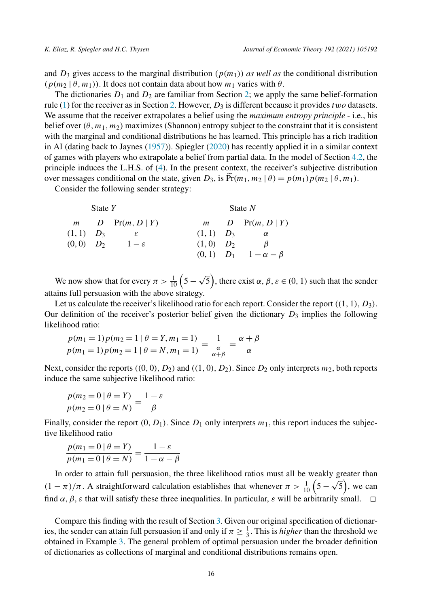and  $D_3$  gives access to the marginal distribution  $(p(m_1))$  *as well as* the conditional distribution  $(p(m_2 | \theta, m_1))$ . It does not contain data about how  $m_1$  varies with  $\theta$ .

The dictionaries  $D_1$  and  $D_2$  $D_2$  are familiar from Section 2; we apply the same belief-formation rule [\(1](#page-4-0)) for the receiver as in Section [2.](#page-3-0) However,  $D_3$  is different because it provides *two* datasets. We assume that the receiver extrapolates a belief using the *maximum entropy principle* - i.e., his belief over  $(\theta, m_1, m_2)$  maximizes (Shannon) entropy subject to the constraint that it is consistent with the marginal and conditional distributions he has learned. This principle has a rich tradition in AI (dating back to Jaynes [\(1957](#page-24-0))). Spiegler ([2020\)](#page-24-0) has recently applied it in a similar context of games with players who extrapolate a belief from partial data. In the model of Section [4.2](#page-13-0), the principle induces the L.H.S. of [\(4](#page-14-0)). In the present context, the receiver's subjective distribution over messages conditional on the state, given  $D_3$ , is  $\widetilde{Pr}(m_1, m_2 | \theta) = p(m_1)p(m_2 | \theta, m_1)$ .

Consider the following sender strategy:

| State $Y$     |  |                    | State $N$      |  |                                 |
|---------------|--|--------------------|----------------|--|---------------------------------|
|               |  | $m$ D Pr(m, D   Y) |                |  | $m$ D Pr(m, D   Y)              |
| $(1,1)$ $D_3$ |  |                    | $(1, 1)$ $D_3$ |  | $\alpha$                        |
| $(0,0)$ $D_2$ |  | $1-\varepsilon$    | $(1,0)$ $D_2$  |  | $\beta$                         |
|               |  |                    |                |  | $(0, 1)$ $D_1$ $1-\alpha-\beta$ |

We now show that for every  $\pi > \frac{1}{10} \left( 5 - \sqrt{5} \right)$ , there exist  $\alpha, \beta, \varepsilon \in (0, 1)$  such that the sender attains full persuasion with the above strategy.

Let us calculate the receiver's likelihood ratio for each report. Consider the report  $((1, 1), D_3)$ . Our definition of the receiver's posterior belief given the dictionary *D*<sup>3</sup> implies the following likelihood ratio:

$$
\frac{p(m_1 = 1)p(m_2 = 1 | \theta = Y, m_1 = 1)}{p(m_1 = 1)p(m_2 = 1 | \theta = N, m_1 = 1)} = \frac{1}{\frac{\alpha}{\alpha + \beta}} = \frac{\alpha + \beta}{\alpha}
$$

Next, consider the reports  $((0, 0), D_2)$  and  $((1, 0), D_2)$ . Since  $D_2$  only interprets  $m_2$ , both reports induce the same subjective likelihood ratio:

$$
\frac{p(m_2 = 0 | \theta = Y)}{p(m_2 = 0 | \theta = N)} = \frac{1 - \varepsilon}{\beta}
$$

Finally, consider the report  $(0, D_1)$ . Since  $D_1$  only interprets  $m_1$ , this report induces the subjective likelihood ratio

$$
\frac{p(m_1 = 0 | \theta = Y)}{p(m_1 = 0 | \theta = N)} = \frac{1 - \varepsilon}{1 - \alpha - \beta}
$$

In order to attain full persuasion, the three likelihood ratios must all be weakly greater than *(*1 − *π*)/*π*. A straightforward calculation establishes that whenever  $\pi > \frac{1}{10}$  (5 –  $\sqrt{5}$ ), we can find  $\alpha$ ,  $\beta$ ,  $\varepsilon$  that will satisfy these three inequalities. In particular,  $\varepsilon$  will be arbitrarily small.

Compare this finding with the result of Section [3](#page-7-0). Given our original specification of dictionaries, the sender can attain full persuasion if and only if  $\pi \ge \frac{1}{3}$ . This is *higher* than the threshold we obtained in Example [3](#page-14-0). The general problem of optimal persuasion under the broader definition of dictionaries as collections of marginal and conditional distributions remains open.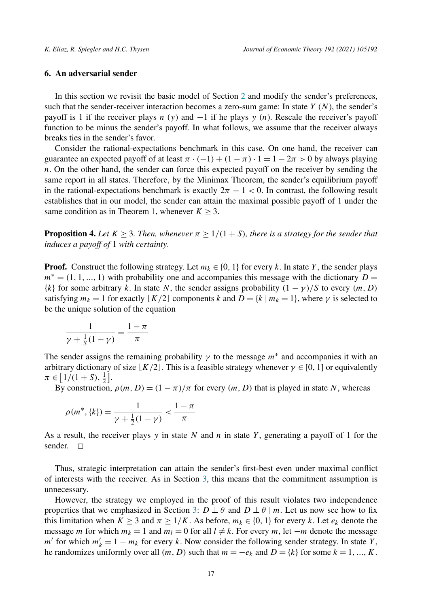# <span id="page-16-0"></span>**6. An adversarial sender**

In this section we revisit the basic model of Section [2](#page-3-0) and modify the sender's preferences, such that the sender-receiver interaction becomes a zero-sum game: In state *Y* (*N*), the sender's payoff is 1 if the receiver plays *n* (*y*) and −1 if he plays *y* (*n*). Rescale the receiver's payoff function to be minus the sender's payoff. In what follows, we assume that the receiver always breaks ties in the sender's favor.

Consider the rational-expectations benchmark in this case. On one hand, the receiver can guarantee an expected payoff of at least  $\pi \cdot (-1) + (1 - \pi) \cdot 1 = 1 - 2\pi > 0$  by always playing *n*. On the other hand, the sender can force this expected payoff on the receiver by sending the same report in all states. Therefore, by the Minimax Theorem, the sender's equilibrium payoff in the rational-expectations benchmark is exactly  $2\pi - 1 < 0$ . In contrast, the following result establishes that in our model, the sender can attain the maximal possible payoff of 1 under the same condition as in Theorem [1](#page-10-0), whenever  $K \geq 3$ .

**Proposition 4.** Let  $K \geq 3$ . Then, whenever  $\pi \geq 1/(1+S)$ , there is a strategy for the sender that *induces a payoff of* 1 *with certainty.*

**Proof.** Construct the following strategy. Let  $m_k \in \{0, 1\}$  for every k. In state Y, the sender plays  $m^* = (1, 1, \ldots, 1)$  with probability one and accompanies this message with the dictionary  $D =$  $\{k\}$  for some arbitrary *k*. In state *N*, the sender assigns probability  $(1 - \gamma)/S$  to every  $(m, D)$ satisfying  $m_k = 1$  for exactly  $|K/2|$  components *k* and  $D = \{k \mid m_k = 1\}$ , where  $\gamma$  is selected to be the unique solution of the equation

$$
\frac{1}{\gamma + \frac{1}{S}(1-\gamma)} = \frac{1-\pi}{\pi}
$$

The sender assigns the remaining probability  $\gamma$  to the message  $m^*$  and accompanies it with an arbitrary dictionary of size  $\lfloor K/2 \rfloor$ . This is a feasible strategy whenever  $\gamma \in [0, 1]$  or equivalently  $\pi \in [1/(1+S),\frac{1}{2}].$ 

By construction,  $\rho(m, D) = (1 - \pi)/\pi$  for every  $(m, D)$  that is played in state *N*, whereas

$$
\rho(m^*, \{k\}) = \frac{1}{\gamma + \frac{1}{2}(1 - \gamma)} < \frac{1 - \pi}{\pi}
$$

As a result, the receiver plays *y* in state *N* and *n* in state *Y* , generating a payoff of 1 for the sender.  $\Box$ 

Thus, strategic interpretation can attain the sender's first-best even under maximal conflict of interests with the receiver. As in Section [3](#page-7-0), this means that the commitment assumption is unnecessary.

However, the strategy we employed in the proof of this result violates two independence properties that we emphasized in Section [3:](#page-7-0)  $D \perp \theta$  and  $D \perp \theta$  | *m*. Let us now see how to fix this limitation when  $K \ge 3$  and  $\pi \ge 1/K$ . As before,  $m_k \in \{0, 1\}$  for every k. Let  $e_k$  denote the message *m* for which  $m_k = 1$  and  $m_l = 0$  for all  $l \neq k$ . For every *m*, let  $-m$  denote the message *m'* for which  $m'_k = 1 - m_k$  for every *k*. Now consider the following sender strategy. In state *Y*, he randomizes uniformly over all  $(m, D)$  such that  $m = -e_k$  and  $D = \{k\}$  for some  $k = 1, ..., K$ .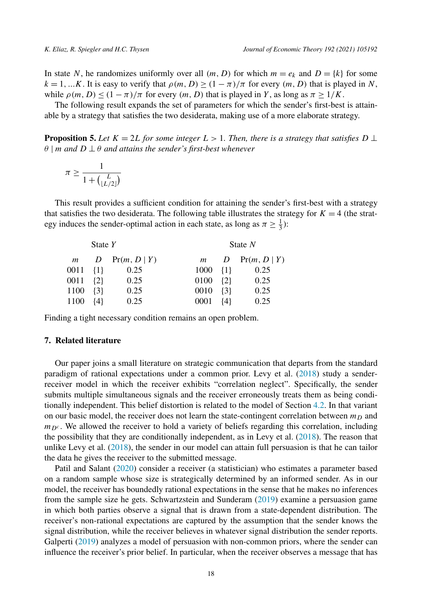<span id="page-17-0"></span>In state *N*, he randomizes uniformly over all  $(m, D)$  for which  $m = e_k$  and  $D = \{k\}$  for some  $k = 1, \ldots K$ . It is easy to verify that  $\rho(m, D) \ge (1 - \pi)/\pi$  for every  $(m, D)$  that is played in *N*, while  $\rho(m, D) \leq (1 - \pi)/\pi$  for every  $(m, D)$  that is played in *Y*, as long as  $\pi \geq 1/K$ .

The following result expands the set of parameters for which the sender's first-best is attainable by a strategy that satisfies the two desiderata, making use of a more elaborate strategy.

**Proposition 5.** Let  $K = 2L$  for some integer  $L > 1$ . Then, there is a strategy that satisfies  $D \perp$ *θ* | *m and D* ⊥ *θ and attains the sender's first-best whenever*

$$
\pi \ge \frac{1}{1 + \binom{L}{\lfloor L/2 \rfloor}}
$$

This result provides a sufficient condition for attaining the sender's first-best with a strategy that satisfies the two desiderata. The following table illustrates the strategy for  $K = 4$  (the strategy induces the sender-optimal action in each state, as long as  $\pi \ge \frac{1}{3}$ ):

| State $Y$ |         |                    |                    | State $N$ |                                 |  |
|-----------|---------|--------------------|--------------------|-----------|---------------------------------|--|
|           |         | $m$ D Pr(m, D   Y) | m                  |           | $D$ Pr( <i>m</i> , $D \mid Y$ ) |  |
| 0011 {1}  |         | 0.25               | $1000 \quad \{1\}$ |           | 0.25                            |  |
| 0011 {2}  |         | 0.25               | 0100               | ${2}$     | 0.25                            |  |
| 1100      | $\{3\}$ | 0.25               | 0010               | $\{3\}$   | 0.25                            |  |
| 1100      | $\{4\}$ | 0.25               | 0001               | $\{4\}$   | 0.25                            |  |

Finding a tight necessary condition remains an open problem.

## **7. Related literature**

Our paper joins a small literature on strategic communication that departs from the standard paradigm of rational expectations under a common prior. Levy et al. [\(2018](#page-24-0)) study a senderreceiver model in which the receiver exhibits "correlation neglect". Specifically, the sender submits multiple simultaneous signals and the receiver erroneously treats them as being conditionally independent. This belief distortion is related to the model of Section [4.2](#page-13-0). In that variant on our basic model, the receiver does not learn the state-contingent correlation between  $m<sub>D</sub>$  and  $m_{D<sup>c</sup>}$ . We allowed the receiver to hold a variety of beliefs regarding this correlation, including the possibility that they are conditionally independent, as in Levy et al. ([2018\)](#page-24-0). The reason that unlike Levy et al. ([2018\)](#page-24-0), the sender in our model can attain full persuasion is that he can tailor the data he gives the receiver to the submitted message.

Patil and Salant [\(2020\)](#page-24-0) consider a receiver (a statistician) who estimates a parameter based on a random sample whose size is strategically determined by an informed sender. As in our model, the receiver has boundedly rational expectations in the sense that he makes no inferences from the sample size he gets. Schwartzstein and Sunderam [\(2019](#page-24-0)) examine a persuasion game in which both parties observe a signal that is drawn from a state-dependent distribution. The receiver's non-rational expectations are captured by the assumption that the sender knows the signal distribution, while the receiver believes in whatever signal distribution the sender reports. Galperti [\(2019](#page-24-0)) analyzes a model of persuasion with non-common priors, where the sender can influence the receiver's prior belief. In particular, when the receiver observes a message that has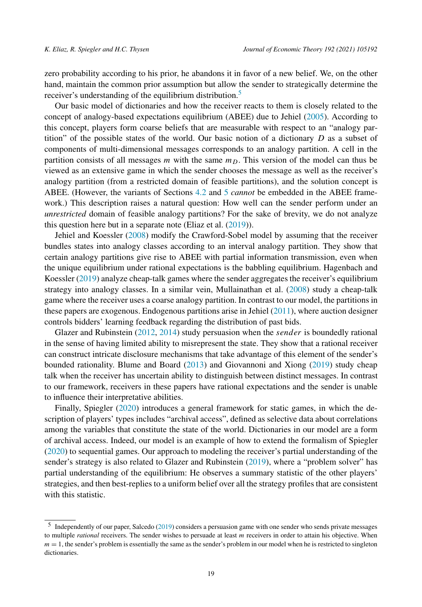zero probability according to his prior, he abandons it in favor of a new belief. We, on the other hand, maintain the common prior assumption but allow the sender to strategically determine the receiver's understanding of the equilibrium distribution.<sup>5</sup>

Our basic model of dictionaries and how the receiver reacts to them is closely related to the concept of analogy-based expectations equilibrium (ABEE) due to Jehiel ([2005\)](#page-24-0). According to this concept, players form coarse beliefs that are measurable with respect to an "analogy partition" of the possible states of the world. Our basic notion of a dictionary *D* as a subset of components of multi-dimensional messages corresponds to an analogy partition. A cell in the partition consists of all messages *m* with the same  $m<sub>D</sub>$ . This version of the model can thus be viewed as an extensive game in which the sender chooses the message as well as the receiver's analogy partition (from a restricted domain of feasible partitions), and the solution concept is ABEE. (However, the variants of Sections [4.2](#page-13-0) and [5](#page-14-0) *cannot* be embedded in the ABEE framework.) This description raises a natural question: How well can the sender perform under an *unrestricted* domain of feasible analogy partitions? For the sake of brevity, we do not analyze this question here but in a separate note (Eliaz et al.  $(2019)$ ).

Jehiel and Koessler ([2008\)](#page-24-0) modify the Crawford-Sobel model by assuming that the receiver bundles states into analogy classes according to an interval analogy partition. They show that certain analogy partitions give rise to ABEE with partial information transmission, even when the unique equilibrium under rational expectations is the babbling equilibrium. Hagenbach and Koessler [\(2019](#page-24-0)) analyze cheap-talk games where the sender aggregates the receiver's equilibrium strategy into analogy classes. In a similar vein, Mullainathan et al. ([2008\)](#page-24-0) study a cheap-talk game where the receiver uses a coarse analogy partition. In contrast to our model, the partitions in these papers are exogenous. Endogenous partitions arise in Jehiel ([2011\)](#page-24-0), where auction designer controls bidders' learning feedback regarding the distribution of past bids.

Glazer and Rubinstein ([2012,](#page-24-0) [2014\)](#page-24-0) study persuasion when the *sender* is boundedly rational in the sense of having limited ability to misrepresent the state. They show that a rational receiver can construct intricate disclosure mechanisms that take advantage of this element of the sender's bounded rationality. Blume and Board ([2013\)](#page-24-0) and Giovannoni and Xiong [\(2019](#page-24-0)) study cheap talk when the receiver has uncertain ability to distinguish between distinct messages. In contrast to our framework, receivers in these papers have rational expectations and the sender is unable to influence their interpretative abilities.

Finally, Spiegler ([2020\)](#page-24-0) introduces a general framework for static games, in which the description of players' types includes "archival access", defined as selective data about correlations among the variables that constitute the state of the world. Dictionaries in our model are a form of archival access. Indeed, our model is an example of how to extend the formalism of Spiegler ([2020\)](#page-24-0) to sequential games. Our approach to modeling the receiver's partial understanding of the sender's strategy is also related to Glazer and Rubinstein [\(2019](#page-24-0)), where a "problem solver" has partial understanding of the equilibrium: He observes a summary statistic of the other players' strategies, and then best-replies to a uniform belief over all the strategy profiles that are consistent with this statistic.

<sup>5</sup> Independently of our paper, Salcedo [\(2019](#page-24-0)) considers a persuasion game with one sender who sends private messages to multiple *rational* receivers. The sender wishes to persuade at least *m* receivers in order to attain his objective. When  $m = 1$ , the sender's problem is essentially the same as the sender's problem in our model when he is restricted to singleton dictionaries.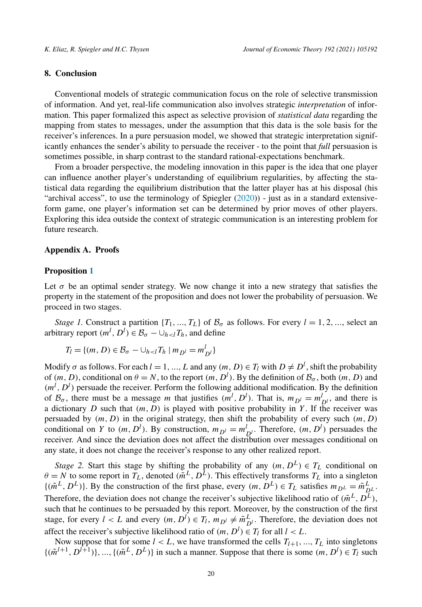## **8. Conclusion**

Conventional models of strategic communication focus on the role of selective transmission of information. And yet, real-life communication also involves strategic *interpretation* of information. This paper formalized this aspect as selective provision of *statistical data* regarding the mapping from states to messages, under the assumption that this data is the sole basis for the receiver's inferences. In a pure persuasion model, we showed that strategic interpretation significantly enhances the sender's ability to persuade the receiver - to the point that *full* persuasion is sometimes possible, in sharp contrast to the standard rational-expectations benchmark.

From a broader perspective, the modeling innovation in this paper is the idea that one player can influence another player's understanding of equilibrium regularities, by affecting the statistical data regarding the equilibrium distribution that the latter player has at his disposal (his "archival access", to use the terminology of Spiegler  $(2020)$  $(2020)$ ) - just as in a standard extensiveform game, one player's information set can be determined by prior moves of other players. Exploring this idea outside the context of strategic communication is an interesting problem for future research.

#### **Appendix A. Proofs**

#### **Proposition [1](#page-9-0)**

Let  $\sigma$  be an optimal sender strategy. We now change it into a new strategy that satisfies the property in the statement of the proposition and does not lower the probability of persuasion. We proceed in two stages.

*Stage* 1. Construct a partition  $\{T_1, ..., T_L\}$  of  $\mathcal{B}_{\sigma}$  as follows. For every  $l = 1, 2, ...,$  select an arbitrary report  $(m^l, D^l) \in \mathcal{B}_{\sigma} - \cup_{h < l} T_h$ , and define

$$
T_l = \{(m, D) \in \mathcal{B}_{\sigma} - \cup_{h < l} T_h \mid m_{D^l} = m_{D^l}^l\}
$$

Modify  $\sigma$  as follows. For each  $l = 1, ..., L$  and any  $(m, D) \in T_l$  with  $D \neq D^l$ , shift the probability of  $(m, D)$ , conditional on  $\theta = N$ , to the report  $(m, D^l)$ . By the definition of  $\mathcal{B}_{\sigma}$ , both  $(m, D)$  and  $(m<sup>l</sup>, D<sup>l</sup>)$  persuade the receiver. Perform the following additional modification. By the definition of  $B_{\sigma}$ , there must be a message *m* that justifies  $(m^{l}, D^{l})$ . That is,  $m_{D^{l}} = m_{D^{l}}^{l}$ , and there is a dictionary  $D$  such that  $(m, D)$  is played with positive probability in  $Y$ . If the receiver was persuaded by  $(m, D)$  in the original strategy, then shift the probability of every such  $(m, D)$ conditional on *Y* to  $(m, D^l)$ . By construction,  $m_{D^l} = m_{D^l}^l$ . Therefore,  $(m, D^l)$  persuades the receiver. And since the deviation does not affect the distribution over messages conditional on any state, it does not change the receiver's response to any other realized report.

*Stage* 2. Start this stage by shifting the probability of any  $(m, D^L) \in T_L$  conditional on  $\theta = N$  to some report in  $T_L$ , denoted  $(\tilde{m}^L, D^L)$ . This effectively transforms  $T_L$  into a singleton  $\{(\tilde{m}^L, D^L)\}\$ . By the construction of the first phase, every  $(m, D^L) \in T_L$  satisfies  $m_{D^L} = \tilde{m}_{D^L}^L$ . Therefore, the deviation does not change the receiver's subjective likelihood ratio of  $(\tilde{m}^L, D^L)$ , such that he continues to be persuaded by this report. Moreover, by the construction of the first stage, for every  $l < L$  and every  $(m, D^l) \in T_l$ ,  $m_{D^l} \neq \tilde{m}_{D^l}^L$ . Therefore, the deviation does not affect the receiver's subjective likelihood ratio of  $(m, D^l) \in T_l$  for all  $l < L$ .

Now suppose that for some  $l < L$ , we have transformed the cells  $T_{l+1},..., T_L$  into singletons  $\{(\tilde{m}^{l+1}, D^{l+1})\}, \dots, \{(\tilde{m}^{L}, D^{L})\}$  in such a manner. Suppose that there is some  $(m, D^{l}) \in T_{l}$  such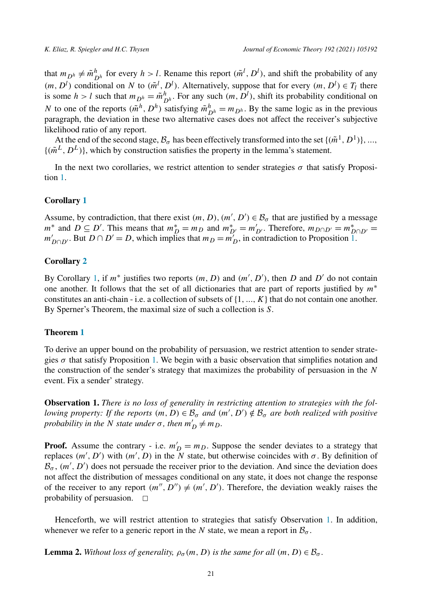<span id="page-20-0"></span>that  $m_{D^h} \neq \tilde{m}_{D^h}^h$  for every  $h > l$ . Rename this report  $(\tilde{m}^l, D^l)$ , and shift the probability of any  $(m, D<sup>l</sup>)$  conditional on *N* to  $(\tilde{m}^l, D^l)$ . Alternatively, suppose that for every  $(m, D^l) \in T_l$  there is some  $h > l$  such that  $m_{D^h} = \tilde{m}_{D^h}^h$ . For any such  $(m, D^l)$ , shift its probability conditional on *N* to one of the reports  $(\tilde{m}^h, D^h)$  satisfying  $\tilde{m}_{D^h}^h = m_{D^h}$ . By the same logic as in the previous paragraph, the deviation in these two alternative cases does not affect the receiver's subjective likelihood ratio of any report.

At the end of the second stage,  $B_{\sigma}$  has been effectively transformed into the set  $\{(\tilde{m}^1, D^1)\}, \ldots$  $\{(\tilde{m}^L, D^L)\}\$ , which by construction satisfies the property in the lemma's statement.

In the next two corollaries, we restrict attention to sender strategies  $\sigma$  that satisfy Proposition [1.](#page-9-0)

# **Corollary [1](#page-10-0)**

Assume, by contradiction, that there exist  $(m, D), (m', D') \in \mathcal{B}_{\sigma}$  that are justified by a message  $m^*$  and  $D \subseteq D'$ . This means that  $m_D^* = m_D$  and  $m_{D'}^* = m_{D'}'$ . Therefore,  $m_{D \cap D'} = m_{D \cap D'}^* =$  $m'_{D \cap D'}$ . But  $D \cap D' = D$ , which implies that  $m_D = m'_D$ , in contradiction to Proposition [1](#page-9-0).

# **Corollary [2](#page-10-0)**

By Corollary [1](#page-10-0), if  $m^*$  justifies two reports  $(m, D)$  and  $(m', D')$ , then *D* and *D'* do not contain one another. It follows that the set of all dictionaries that are part of reports justified by *m*<sup>∗</sup> constitutes an anti-chain - i.e. a collection of subsets of  $\{1, ..., K\}$  that do not contain one another. By Sperner's Theorem, the maximal size of such a collection is *S*.

## **Theorem [1](#page-10-0)**

To derive an upper bound on the probability of persuasion, we restrict attention to sender strategies  $\sigma$  that satisfy Proposition [1.](#page-9-0) We begin with a basic observation that simplifies notation and the construction of the sender's strategy that maximizes the probability of persuasion in the *N* event. Fix a sender' strategy.

**Observation 1.** *There is no loss of generality in restricting attention to strategies with the fol*lowing property: If the reports  $(m, D) \in \mathcal{B}_{\sigma}$  and  $(m', D') \notin \mathcal{B}_{\sigma}$  are both realized with positive *probability in the N state under*  $\sigma$ *, then*  $m'_D \neq m_D$ *.* 

**Proof.** Assume the contrary - i.e.  $m'_D = m_D$ . Suppose the sender deviates to a strategy that replaces  $(m', D')$  with  $(m', D)$  in the N state, but otherwise coincides with  $\sigma$ . By definition of  $\mathcal{B}_{\sigma}$ ,  $(m', D')$  does not persuade the receiver prior to the deviation. And since the deviation does not affect the distribution of messages conditional on any state, it does not change the response of the receiver to any report  $(m'', D'') \neq (m', D')$ . Therefore, the deviation weakly raises the probability of persuasion.  $\Box$ 

Henceforth, we will restrict attention to strategies that satisfy Observation 1. In addition, whenever we refer to a generic report in the *N* state, we mean a report in  $\mathcal{B}_{\sigma}$ .

**Lemma 2.** Without loss of generality,  $\rho_{\sigma}(m, D)$  is the same for all  $(m, D) \in \mathcal{B}_{\sigma}$ .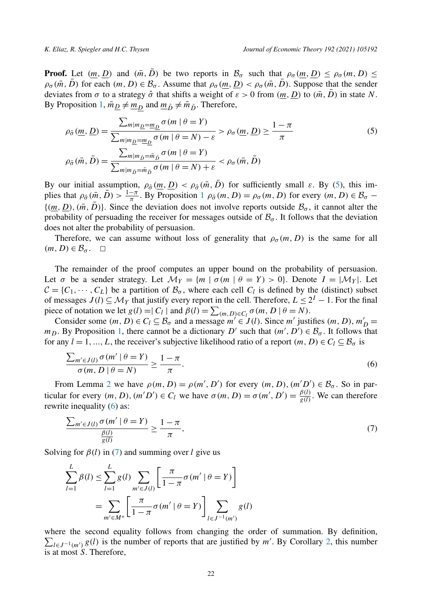**Proof.** Let  $(m, D)$  and  $(\bar{m}, \bar{D})$  be two reports in  $\mathcal{B}_{\sigma}$  such that  $\rho_{\sigma}(\underline{m}, D) \leq \rho_{\sigma}(m, D) \leq$  $\rho_{\sigma}(\bar{m}, \bar{D})$  for each  $(m, D) \in \mathcal{B}_{\sigma}$ . Assume that  $\rho_{\sigma}(m, D) < \rho_{\sigma}(\bar{m}, \bar{D})$ . Suppose that the sender deviates from  $\sigma$  to a strategy  $\hat{\sigma}$  that shifts a weight of  $\varepsilon > 0$  from  $(\underline{m}, \underline{D})$  to  $(\overline{m}, \overline{D})$  in state *N*. By Proposition [1](#page-9-0),  $\bar{m}_D \neq \underline{m}_D$  and  $\underline{m}_{\bar{D}} \neq \bar{m}_{\bar{D}}$ . Therefore,

$$
\rho_{\hat{\sigma}}(\underline{m}, \underline{D}) = \frac{\sum_{m|m_{\underline{D}} = \underline{m}_{\underline{D}}} \sigma(m \mid \theta = Y)}{\sum_{m|m_{\underline{D}} = \underline{m}_{\underline{D}}} \sigma(m \mid \theta = N) - \varepsilon} > \rho_{\sigma}(\underline{m}, \underline{D}) \ge \frac{1 - \pi}{\pi}
$$
(5)  

$$
\rho_{\hat{\sigma}}(\bar{m}, \bar{D}) = \frac{\sum_{m|m_{\bar{D}} = \bar{m}_{\bar{D}}} \sigma(m \mid \theta = Y)}{\sum_{m|m_{\bar{D}} = \bar{m}_{\bar{D}}} \sigma(m \mid \theta = N) + \varepsilon} < \rho_{\sigma}(\bar{m}, \bar{D})
$$

By our initial assumption,  $\rho_{\hat{\sigma}}(m, D) < \rho_{\hat{\sigma}}(\bar{m}, D)$  for sufficiently small  $\varepsilon$ . By (5), this implies that  $\rho_{\hat{\sigma}}(\bar{m}, \bar{D}) > \frac{1-\pi}{\pi}$  $\rho_{\hat{\sigma}}(\bar{m}, \bar{D}) > \frac{1-\pi}{\pi}$  $\rho_{\hat{\sigma}}(\bar{m}, \bar{D}) > \frac{1-\pi}{\pi}$ . By Proposition 1  $\rho_{\hat{\sigma}}(m, D) = \rho_{\sigma}(m, D)$  for every  $(m, D) \in \mathcal{B}_{\sigma}$  –  $\{(m, D), (\bar{m}, \bar{D})\}$ . Since the deviation does not involve reports outside  $\mathcal{B}_{\sigma}$ , it cannot alter the probability of persuading the receiver for messages outside of  $\mathcal{B}_{\sigma}$ . It follows that the deviation does not alter the probability of persuasion.

Therefore, we can assume without loss of generality that  $\rho_{\sigma}(m, D)$  is the same for all  $(m, D) \in \mathcal{B}_{\sigma}$ .  $\Box$ 

The remainder of the proof computes an upper bound on the probability of persuasion. Let  $\sigma$  be a sender strategy. Let  $\mathcal{M}_Y = \{m \mid \sigma(m \mid \theta = Y) > 0\}$ . Denote  $I = |\mathcal{M}_Y|$ . Let  $C = \{C_1, \dots, C_L\}$  be a partition of  $\mathcal{B}_{\sigma}$ , where each cell  $C_l$  is defined by the (distinct) subset of messages  $J(l) \subseteq M_Y$  that justify every report in the cell. Therefore,  $L \leq 2^I - 1$ . For the final piece of notation we let  $g(l) = |C_l|$  and  $\beta(l) = \sum_{(m,D)\in C_l} \sigma(m, D | \theta = N)$ .

Consider some  $(m, D) \in C_l \subseteq B_\sigma$  and a message  $m' \in J(l)$ . Since  $m'$  justifies  $(m, D), m'_D =$ *m<sub>D</sub>*. By Proposition [1](#page-9-0), there cannot be a dictionary *D'* such that  $(m', D') \in \mathcal{B}_{\sigma}$ . It follows that for any  $l = 1, ..., L$ , the receiver's subjective likelihood ratio of a report  $(m, D) \in C_l \subseteq \mathcal{B}_{\sigma}$  is

$$
\frac{\sum_{m' \in J(l)} \sigma(m' \mid \theta = Y)}{\sigma(m, D \mid \theta = N)} \ge \frac{1 - \pi}{\pi}.
$$
\n
$$
(6)
$$

From Lemma [2](#page-20-0) we have  $\rho(m, D) = \rho(m', D')$  for every  $(m, D), (m' D') \in \mathcal{B}_{\sigma}$ . So in particular for every  $(m, D), (m'D') \in C_l$  we have  $\sigma(m, D) = \sigma(m', D') = \frac{\beta(l)}{g(l)}$ . We can therefore rewrite inequality (6) as:

$$
\frac{\sum_{m'\in J(l)}\sigma(m'\mid \theta = Y)}{\frac{\beta(l)}{g(l)}} \ge \frac{1-\pi}{\pi},\tag{7}
$$

Solving for *β(l)* in (7) and summing over *l* give us

$$
\sum_{l=1}^{L} \beta(l) \le \sum_{l=1}^{L} g(l) \sum_{m' \in J(l)} \left[ \frac{\pi}{1 - \pi} \sigma(m' \mid \theta = Y) \right]
$$

$$
= \sum_{m' \in M^*} \left[ \frac{\pi}{1 - \pi} \sigma(m' \mid \theta = Y) \right] \sum_{l \in J^{-1}(m')} g(l)
$$

where the second equality follows from changing the order of summation. By definition,  $\sum_{l \in J^{-1}(m')} g(l)$  is the number of reports that are justified by *m'*. By Corollary [2](#page-10-0), this number is at most *S*. Therefore,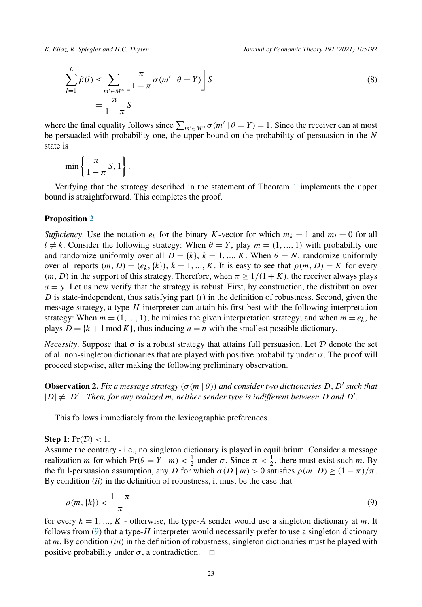<span id="page-22-0"></span>

$$
\sum_{l=1}^{L} \beta(l) \le \sum_{m' \in M^*} \left[ \frac{\pi}{1 - \pi} \sigma(m' \mid \theta = Y) \right] S
$$
\n
$$
= \frac{\pi}{1 - \pi} S
$$
\n(8)

where the final equality follows since  $\sum_{m' \in M^*} \sigma(m' | \theta = Y) = 1$ . Since the receiver can at most be persuaded with probability one, the upper bound on the probability of persuasion in the *N* state is

$$
\min\left\{\frac{\pi}{1-\pi}S, 1\right\}.
$$

Verifying that the strategy described in the statement of Theorem [1](#page-10-0) implements the upper bound is straightforward. This completes the proof.

## **Proposition [2](#page-13-0)**

*Sufficiency*. Use the notation  $e_k$  for the binary *K*-vector for which  $m_k = 1$  and  $m_l = 0$  for all  $l \neq k$ . Consider the following strategy: When  $\theta = Y$ , play  $m = (1, ..., 1)$  with probability one and randomize uniformly over all  $D = \{k\}, k = 1, ..., K$ . When  $\theta = N$ , randomize uniformly over all reports  $(m, D) = (e_k, \{k\})$ ,  $k = 1, ..., K$ . It is easy to see that  $\rho(m, D) = K$  for every  $(m, D)$  in the support of this strategy. Therefore, when  $\pi \geq 1/(1 + K)$ , the receiver always plays  $a = y$ . Let us now verify that the strategy is robust. First, by construction, the distribution over *D* is state-independent, thus satisfying part *(i)* in the definition of robustness. Second, given the message strategy, a type-*H* interpreter can attain his first-best with the following interpretation strategy: When  $m = (1, ..., 1)$ , he mimics the given interpretation strategy; and when  $m = e_k$ , he plays  $D = \{k + 1 \mod K\}$ , thus inducing  $a = n$  with the smallest possible dictionary.

*Necessity*. Suppose that  $\sigma$  is a robust strategy that attains full persuasion. Let D denote the set of all non-singleton dictionaries that are played with positive probability under *σ* . The proof will proceed stepwise, after making the following preliminary observation.

**Observation 2.** Fix a message strategy  $(\sigma(m \mid \theta))$  and consider two dictionaries D, D' such that  $|D| \neq |D'|$ . Then, for any realized m, neither sender type is indifferent between D and D'.

This follows immediately from the lexicographic preferences.

## **Step 1**:  $Pr(\mathcal{D}) < 1$ .

Assume the contrary - i.e., no singleton dictionary is played in equilibrium. Consider a message realization *m* for which  $Pr(\theta = Y | m) < \frac{1}{2}$  under  $\sigma$ . Since  $\pi < \frac{1}{2}$ , there must exist such *m*. By the full-persuasion assumption, any *D* for which  $\sigma(D|m) > 0$  satisfies  $\rho(m, D) \ge (1 - \pi)/\pi$ . By condition *(ii)* in the definition of robustness, it must be the case that

$$
\rho(m,\{k\}) < \frac{1-\pi}{\pi} \tag{9}
$$

for every  $k = 1, ..., K$  - otherwise, the type-A sender would use a singleton dictionary at *m*. It follows from (9) that a type-*H* interpreter would necessarily prefer to use a singleton dictionary at *m*. By condition *(iii)* in the definition of robustness, singleton dictionaries must be played with positive probability under  $\sigma$ , a contradiction.  $\Box$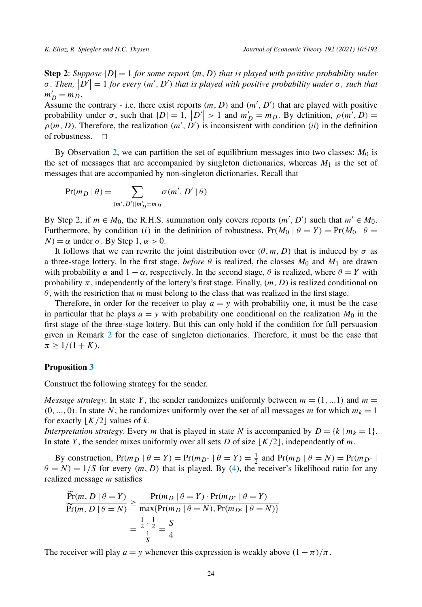**Step 2**: *Suppose*  $|D| = 1$  *for some report*  $(m, D)$  *that is played with positive probability under*  $\sigma$ . Then,  $|D'| = 1$  for every  $(m', D')$  that is played with positive probability under  $\sigma$ , such that  $m'_D = m_D$ .

Assume the contrary - i.e. there exist reports  $(m, D)$  and  $(m', D')$  that are played with positive probability under  $\sigma$ , such that  $|D| = 1$ ,  $|D'| > 1$  and  $m'_D = m_D$ . By definition,  $\rho(m', D) =$  $\rho(m, D)$ . Therefore, the realization  $(m', D')$  is inconsistent with condition *(ii)* in the definition of robustness.  $\Box$ 

By Observation [2,](#page-22-0) we can partition the set of equilibrium messages into two classes:  $M_0$  is the set of messages that are accompanied by singleton dictionaries, whereas  $M_1$  is the set of messages that are accompanied by non-singleton dictionaries. Recall that

$$
Pr(m_D | \theta) = \sum_{(m',D')|m'_D=m_D} \sigma(m', D' | \theta)
$$

By Step 2, if  $m \in M_0$ , the R.H.S. summation only covers reports  $(m', D')$  such that  $m' \in M_0$ . Furthermore, by condition *(i)* in the definition of robustness,  $Pr(M_0 | \theta = Y) = Pr(M_0 | \theta =$ *N*) = *α* under *σ*. By Step 1,  $\alpha$  > 0.

It follows that we can rewrite the joint distribution over  $(\theta, m, D)$  that is induced by  $\sigma$  as a three-stage lottery. In the first stage, *before*  $\theta$  is realized, the classes  $M_0$  and  $M_1$  are drawn with probability  $\alpha$  and  $1 - \alpha$ , respectively. In the second stage,  $\theta$  is realized, where  $\theta = Y$  with probability *π*, independently of the lottery's first stage. Finally, *(m, D)* is realized conditional on *θ* , with the restriction that *m* must belong to the class that was realized in the first stage.

Therefore, in order for the receiver to play  $a = y$  with probability one, it must be the case in particular that he plays  $a = y$  with probability one conditional on the realization  $M_0$  in the first stage of the three-stage lottery. But this can only hold if the condition for full persuasion given in Remark [2](#page-11-0) for the case of singleton dictionaries. Therefore, it must be the case that  $\pi \geq 1/(1+K)$ .

#### **Proposition [3](#page-14-0)**

Construct the following strategy for the sender.

*Message strategy*. In state *Y*, the sender randomizes uniformly between  $m = (1, ...1)$  and  $m =$  $(0, ..., 0)$ . In state *N*, he randomizes uniformly over the set of all messages *m* for which  $m_k = 1$ for exactly  $\lfloor K/2 \rfloor$  values of *k*.

*Interpretation strategy*. Every *m* that is played in state *N* is accompanied by  $D = \{k \mid m_k = 1\}$ . In state *Y*, the sender mixes uniformly over all sets *D* of size  $\lfloor K/2 \rfloor$ , independently of *m*.

By construction,  $Pr(m_D | \theta = Y) = Pr(m_{D^c} | \theta = Y) = \frac{1}{2}$  and  $Pr(m_D | \theta = N) = Pr(m_{D^c} | \theta = Y)$  $\theta = N$ ) = 1/S for every  $(m, D)$  that is played. By [\(4](#page-14-0)), the receiver's likelihood ratio for any realized message *m* satisfies

$$
\frac{\Pr(m, D \mid \theta = Y)}{\Pr(m, D \mid \theta = N)} \ge \frac{\Pr(m_D \mid \theta = Y) \cdot \Pr(m_{D^c} \mid \theta = Y)}{\max\{\Pr(m_D \mid \theta = N), \Pr(m_{D^c} \mid \theta = N)\}} = \frac{\frac{1}{2} \cdot \frac{1}{2}}{\frac{1}{5}} = \frac{S}{4}
$$

The receiver will play  $a = y$  whenever this expression is weakly above  $(1 - \pi)/\pi$ .